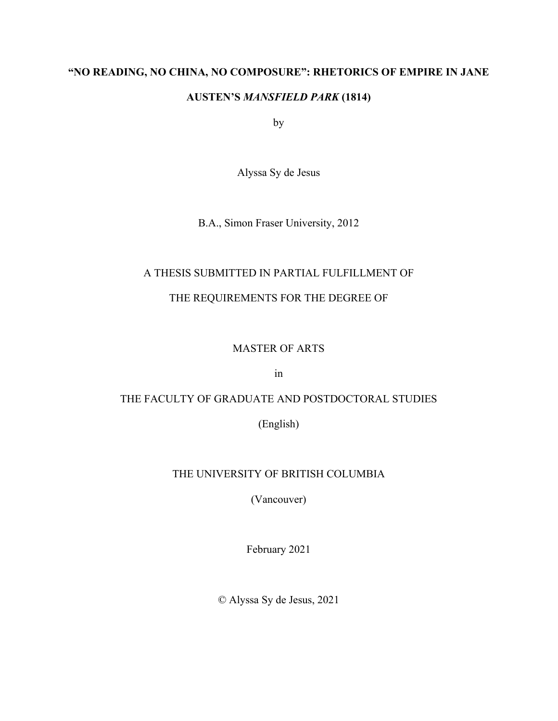### **"NO READING, NO CHINA, NO COMPOSURE": RHETORICS OF EMPIRE IN JANE**

## **AUSTEN'S** *MANSFIELD PARK* **(1814)**

by

Alyssa Sy de Jesus

B.A., Simon Fraser University, 2012

# A THESIS SUBMITTED IN PARTIAL FULFILLMENT OF

# THE REQUIREMENTS FOR THE DEGREE OF

# MASTER OF ARTS

in

# THE FACULTY OF GRADUATE AND POSTDOCTORAL STUDIES

(English)

# THE UNIVERSITY OF BRITISH COLUMBIA

(Vancouver)

February 2021

© Alyssa Sy de Jesus, 2021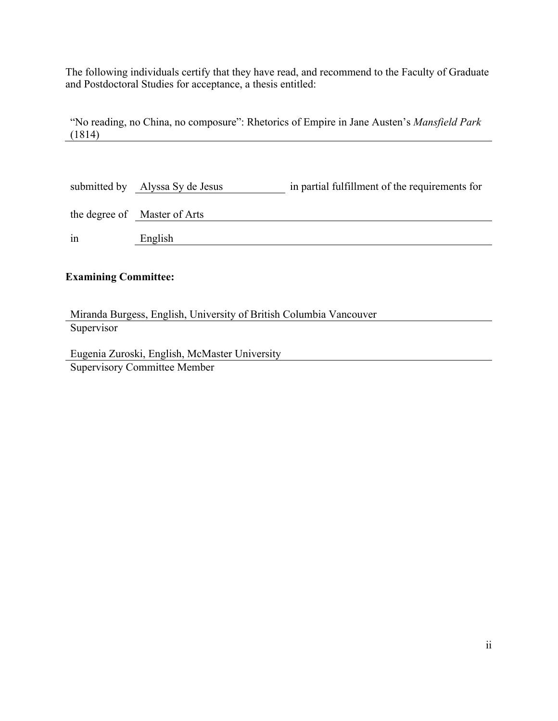The following individuals certify that they have read, and recommend to the Faculty of Graduate and Postdoctoral Studies for acceptance, a thesis entitled:

"No reading, no China, no composure": Rhetorics of Empire in Jane Austen's *Mansfield Park*  (1814)

|    | submitted by Alyssa Sy de Jesus | in partial fulfillment of the requirements for |
|----|---------------------------------|------------------------------------------------|
|    | the degree of Master of Arts    |                                                |
| 1n | English                         |                                                |

## **Examining Committee:**

Miranda Burgess, English, University of British Columbia Vancouver **Supervisor** 

Eugenia Zuroski, English, McMaster University Supervisory Committee Member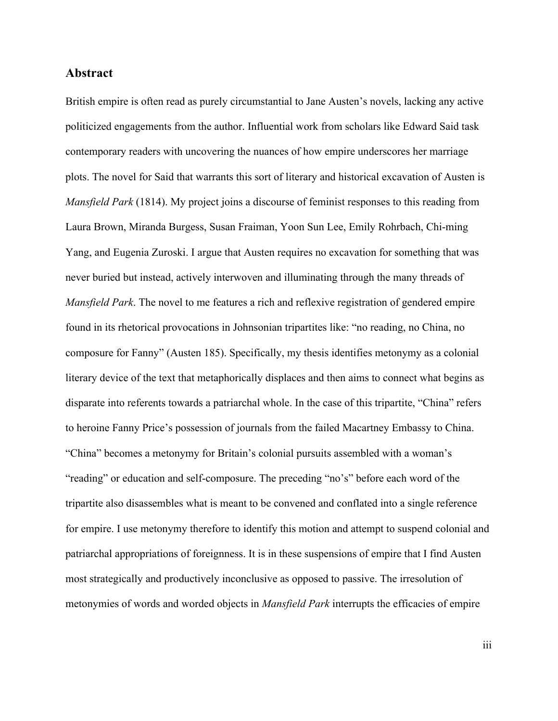#### **Abstract**

British empire is often read as purely circumstantial to Jane Austen's novels, lacking any active politicized engagements from the author. Influential work from scholars like Edward Said task contemporary readers with uncovering the nuances of how empire underscores her marriage plots. The novel for Said that warrants this sort of literary and historical excavation of Austen is *Mansfield Park* (1814). My project joins a discourse of feminist responses to this reading from Laura Brown, Miranda Burgess, Susan Fraiman, Yoon Sun Lee, Emily Rohrbach, Chi-ming Yang, and Eugenia Zuroski. I argue that Austen requires no excavation for something that was never buried but instead, actively interwoven and illuminating through the many threads of *Mansfield Park*. The novel to me features a rich and reflexive registration of gendered empire found in its rhetorical provocations in Johnsonian tripartites like: "no reading, no China, no composure for Fanny" (Austen 185). Specifically, my thesis identifies metonymy as a colonial literary device of the text that metaphorically displaces and then aims to connect what begins as disparate into referents towards a patriarchal whole. In the case of this tripartite, "China" refers to heroine Fanny Price's possession of journals from the failed Macartney Embassy to China. "China" becomes a metonymy for Britain's colonial pursuits assembled with a woman's "reading" or education and self-composure. The preceding "no's" before each word of the tripartite also disassembles what is meant to be convened and conflated into a single reference for empire. I use metonymy therefore to identify this motion and attempt to suspend colonial and patriarchal appropriations of foreignness. It is in these suspensions of empire that I find Austen most strategically and productively inconclusive as opposed to passive. The irresolution of metonymies of words and worded objects in *Mansfield Park* interrupts the efficacies of empire

iii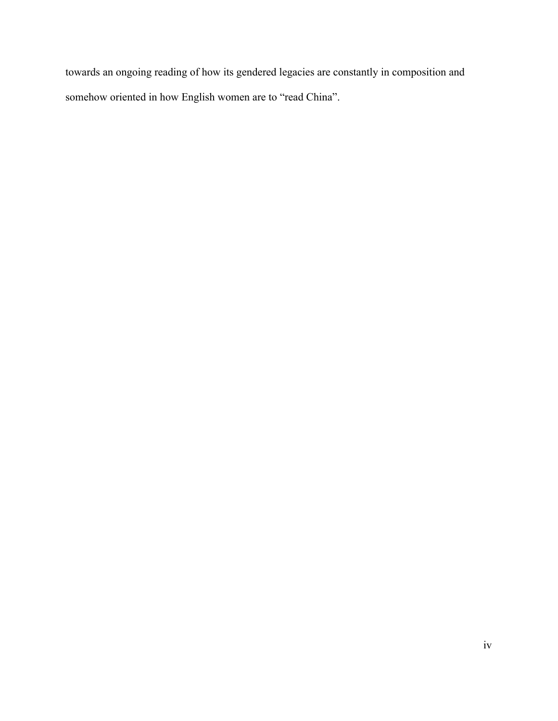towards an ongoing reading of how its gendered legacies are constantly in composition and somehow oriented in how English women are to "read China".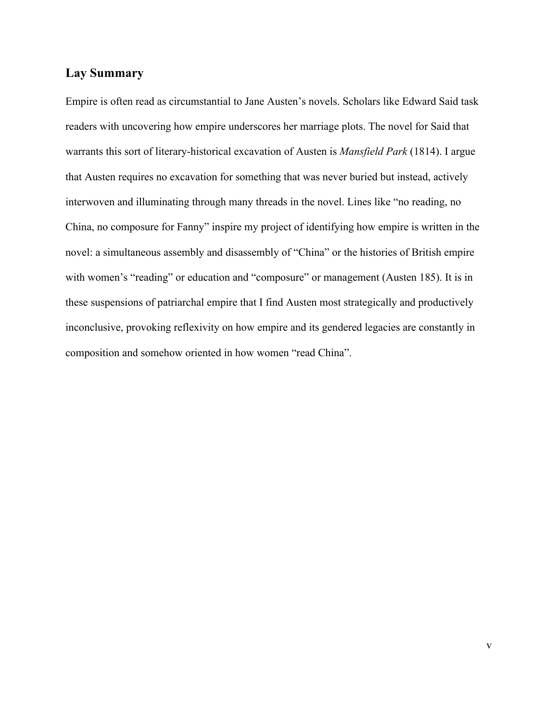#### **Lay Summary**

Empire is often read as circumstantial to Jane Austen's novels. Scholars like Edward Said task readers with uncovering how empire underscores her marriage plots. The novel for Said that warrants this sort of literary-historical excavation of Austen is *Mansfield Park* (1814). I argue that Austen requires no excavation for something that was never buried but instead, actively interwoven and illuminating through many threads in the novel. Lines like "no reading, no China, no composure for Fanny" inspire my project of identifying how empire is written in the novel: a simultaneous assembly and disassembly of "China" or the histories of British empire with women's "reading" or education and "composure" or management (Austen 185). It is in these suspensions of patriarchal empire that I find Austen most strategically and productively inconclusive, provoking reflexivity on how empire and its gendered legacies are constantly in composition and somehow oriented in how women "read China".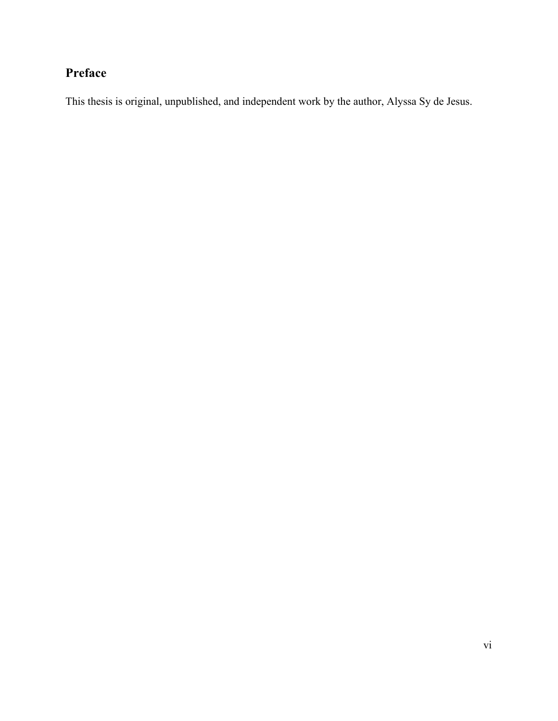# **Preface**

This thesis is original, unpublished, and independent work by the author, Alyssa Sy de Jesus.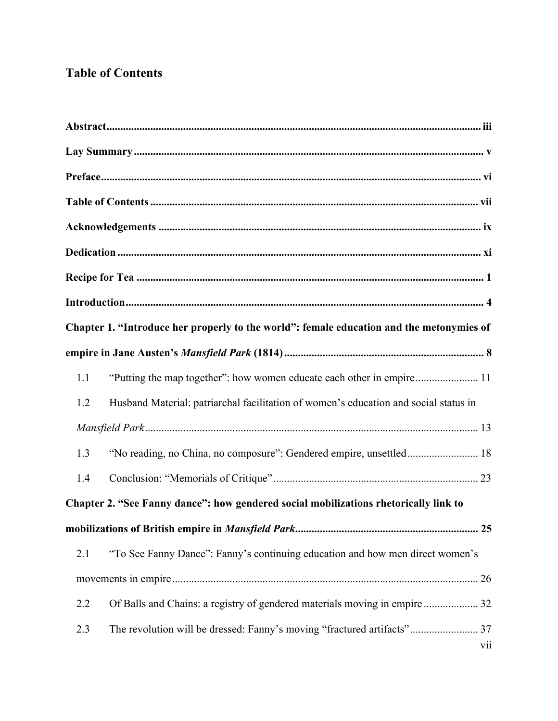# **Table of Contents**

| Chapter 1. "Introduce her properly to the world": female education and the metonymies of           |
|----------------------------------------------------------------------------------------------------|
|                                                                                                    |
| "Putting the map together": how women educate each other in empire 11<br>1.1                       |
| 1.2<br>Husband Material: patriarchal facilitation of women's education and social status in        |
|                                                                                                    |
| 1.3                                                                                                |
| 1.4                                                                                                |
| Chapter 2. "See Fanny dance": how gendered social mobilizations rhetorically link to               |
|                                                                                                    |
| "To See Fanny Dance": Fanny's continuing education and how men direct women's<br>2.1               |
|                                                                                                    |
| Of Balls and Chains: a registry of gendered materials moving in empire  32<br>2.2                  |
| The revolution will be dressed: Fanny's moving "fractured artifacts" 37<br>2.3<br>$\overline{vii}$ |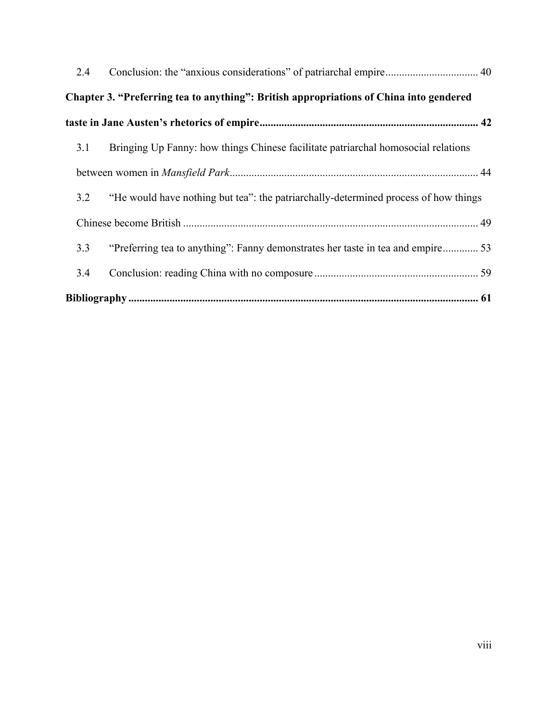| 2.4 |                                                                                        |  |
|-----|----------------------------------------------------------------------------------------|--|
|     | Chapter 3. "Preferring tea to anything": British appropriations of China into gendered |  |
|     |                                                                                        |  |
| 3.1 | Bringing Up Fanny: how things Chinese facilitate patriarchal homosocial relations      |  |
|     |                                                                                        |  |
| 3.2 | "He would have nothing but tea": the patriarchally-determined process of how things    |  |
|     |                                                                                        |  |
| 3.3 | "Preferring tea to anything": Fanny demonstrates her taste in tea and empire 53        |  |
| 3.4 |                                                                                        |  |
|     |                                                                                        |  |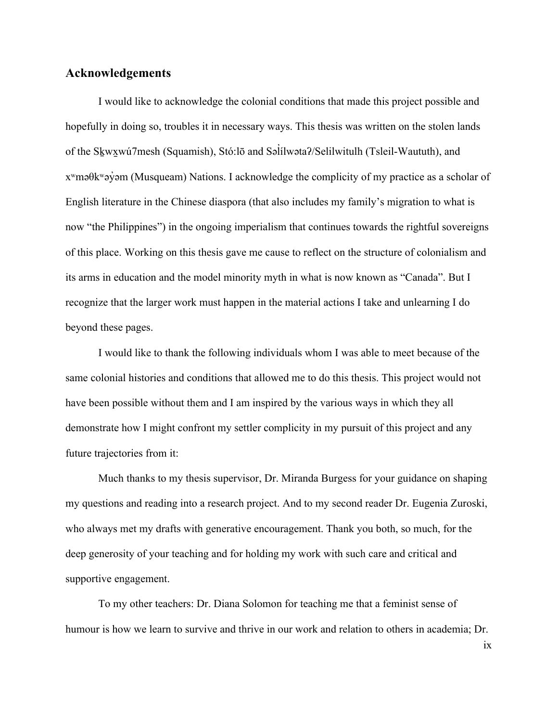#### **Acknowledgements**

I would like to acknowledge the colonial conditions that made this project possible and hopefully in doing so, troubles it in necessary ways. This thesis was written on the stolen lands of the Sḵwx̱wú7mesh (Squamish), Stó:lō and Səl ílwətaʔ/Selilwitulh (Tsleil-Waututh), and ̓ xʷməθkʷəy̓əm (Musqueam) Nations. I acknowledge the complicity of my practice as a scholar of English literature in the Chinese diaspora (that also includes my family's migration to what is now "the Philippines") in the ongoing imperialism that continues towards the rightful sovereigns of this place. Working on this thesis gave me cause to reflect on the structure of colonialism and its arms in education and the model minority myth in what is now known as "Canada". But I recognize that the larger work must happen in the material actions I take and unlearning I do beyond these pages.

I would like to thank the following individuals whom I was able to meet because of the same colonial histories and conditions that allowed me to do this thesis. This project would not have been possible without them and I am inspired by the various ways in which they all demonstrate how I might confront my settler complicity in my pursuit of this project and any future trajectories from it:

Much thanks to my thesis supervisor, Dr. Miranda Burgess for your guidance on shaping my questions and reading into a research project. And to my second reader Dr. Eugenia Zuroski, who always met my drafts with generative encouragement. Thank you both, so much, for the deep generosity of your teaching and for holding my work with such care and critical and supportive engagement.

To my other teachers: Dr. Diana Solomon for teaching me that a feminist sense of humour is how we learn to survive and thrive in our work and relation to others in academia; Dr.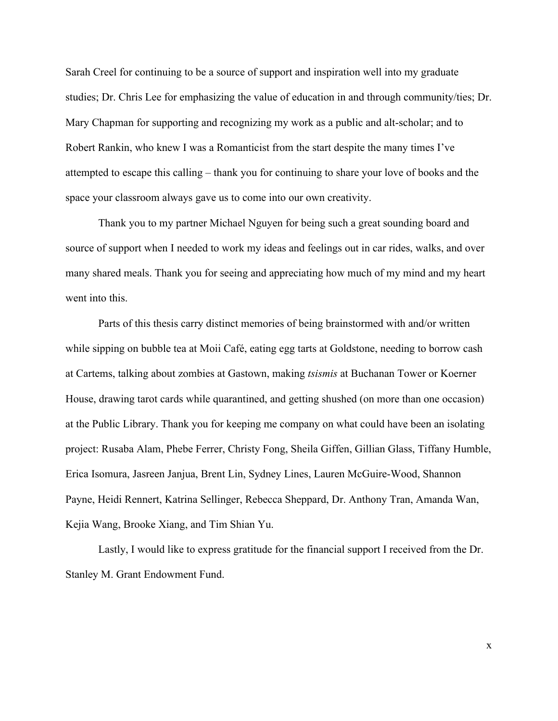Sarah Creel for continuing to be a source of support and inspiration well into my graduate studies; Dr. Chris Lee for emphasizing the value of education in and through community/ties; Dr. Mary Chapman for supporting and recognizing my work as a public and alt-scholar; and to Robert Rankin, who knew I was a Romanticist from the start despite the many times I've attempted to escape this calling – thank you for continuing to share your love of books and the space your classroom always gave us to come into our own creativity.

Thank you to my partner Michael Nguyen for being such a great sounding board and source of support when I needed to work my ideas and feelings out in car rides, walks, and over many shared meals. Thank you for seeing and appreciating how much of my mind and my heart went into this.

Parts of this thesis carry distinct memories of being brainstormed with and/or written while sipping on bubble tea at Moii Café, eating egg tarts at Goldstone, needing to borrow cash at Cartems, talking about zombies at Gastown, making *tsismis* at Buchanan Tower or Koerner House, drawing tarot cards while quarantined, and getting shushed (on more than one occasion) at the Public Library. Thank you for keeping me company on what could have been an isolating project: Rusaba Alam, Phebe Ferrer, Christy Fong, Sheila Giffen, Gillian Glass, Tiffany Humble, Erica Isomura, Jasreen Janjua, Brent Lin, Sydney Lines, Lauren McGuire-Wood, Shannon Payne, Heidi Rennert, Katrina Sellinger, Rebecca Sheppard, Dr. Anthony Tran, Amanda Wan, Kejia Wang, Brooke Xiang, and Tim Shian Yu.

Lastly, I would like to express gratitude for the financial support I received from the Dr. Stanley M. Grant Endowment Fund.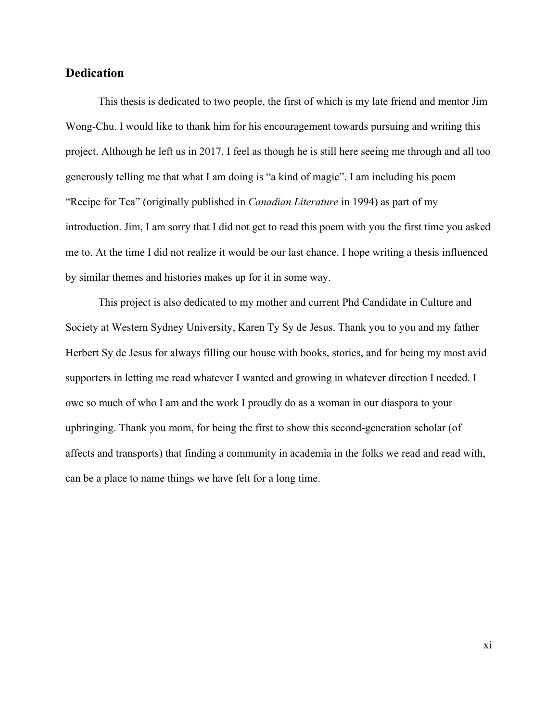### **Dedication**

This thesis is dedicated to two people, the first of which is my late friend and mentor Jim Wong-Chu. I would like to thank him for his encouragement towards pursuing and writing this project. Although he left us in 2017, I feel as though he is still here seeing me through and all too generously telling me that what I am doing is "a kind of magic". I am including his poem "Recipe for Tea" (originally published in *Canadian Literature* in 1994) as part of my introduction. Jim, I am sorry that I did not get to read this poem with you the first time you asked me to. At the time I did not realize it would be our last chance. I hope writing a thesis influenced by similar themes and histories makes up for it in some way.

This project is also dedicated to my mother and current Phd Candidate in Culture and Society at Western Sydney University, Karen Ty Sy de Jesus. Thank you to you and my father Herbert Sy de Jesus for always filling our house with books, stories, and for being my most avid supporters in letting me read whatever I wanted and growing in whatever direction I needed. I owe so much of who I am and the work I proudly do as a woman in our diaspora to your upbringing. Thank you mom, for being the first to show this second-generation scholar (of affects and transports) that finding a community in academia in the folks we read and read with, can be a place to name things we have felt for a long time.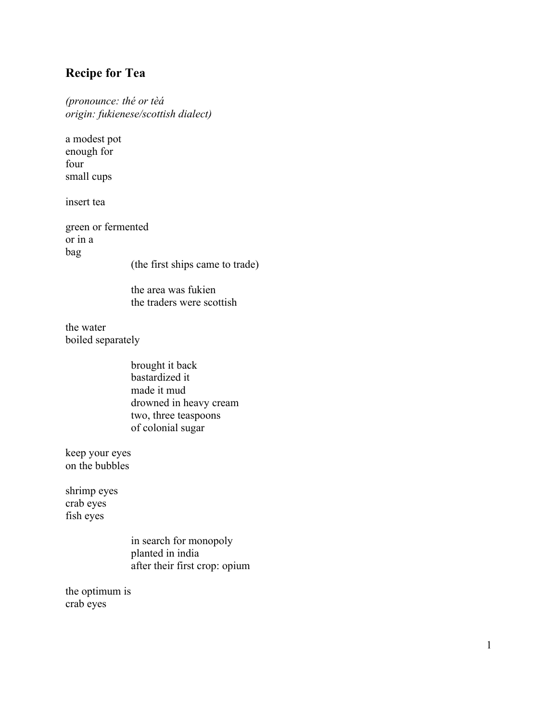# **Recipe for Tea**

*(pronounce: thé or tèá origin: fukienese/scottish dialect)*

a modest pot enough for four small cups

insert tea

green or fermented or in a bag

(the first ships came to trade)

the area was fukien the traders were scottish

the water boiled separately

> brought it back bastardized it made it mud drowned in heavy cream two, three teaspoons of colonial sugar

keep your eyes on the bubbles

shrimp eyes crab eyes fish eyes

> in search for monopoly planted in india after their first crop: opium

the optimum is crab eyes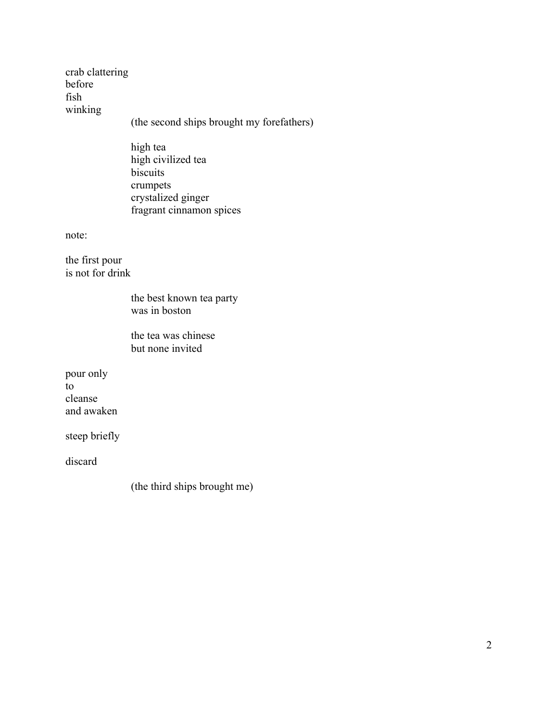crab clattering before fish winking (the second ships brought my forefathers) high tea high civilized tea biscuits crumpets crystalized ginger fragrant cinnamon spices note: the first pour is not for drink the best known tea party was in boston the tea was chinese but none invited pour only to cleanse and awaken steep briefly

discard

(the third ships brought me)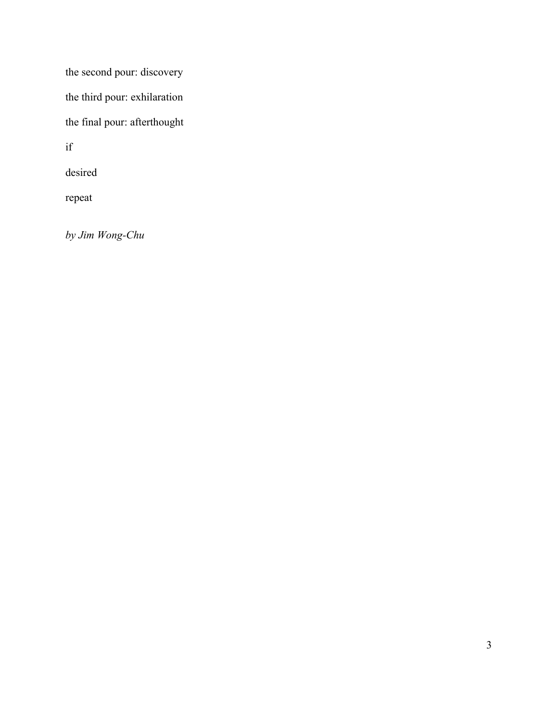the second pour: discovery

the third pour: exhilaration

the final pour: afterthought

if

desired

repeat

*by Jim Wong-Chu*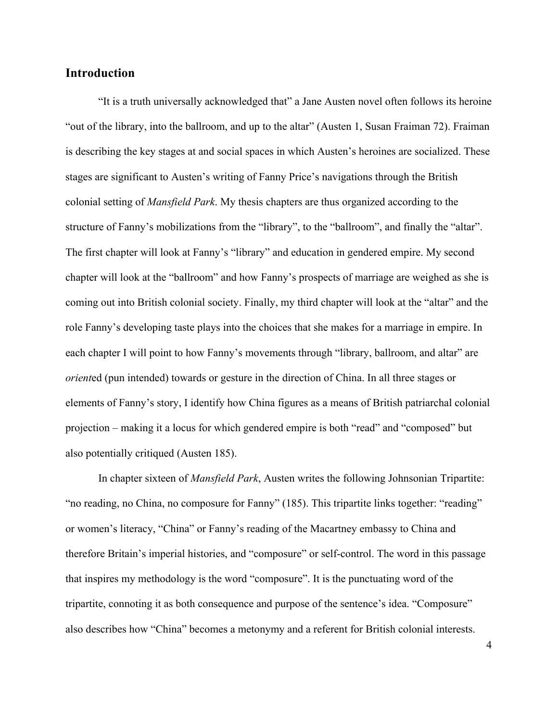### **Introduction**

"It is a truth universally acknowledged that" a Jane Austen novel often follows its heroine "out of the library, into the ballroom, and up to the altar" (Austen 1, Susan Fraiman 72). Fraiman is describing the key stages at and social spaces in which Austen's heroines are socialized. These stages are significant to Austen's writing of Fanny Price's navigations through the British colonial setting of *Mansfield Park*. My thesis chapters are thus organized according to the structure of Fanny's mobilizations from the "library", to the "ballroom", and finally the "altar". The first chapter will look at Fanny's "library" and education in gendered empire. My second chapter will look at the "ballroom" and how Fanny's prospects of marriage are weighed as she is coming out into British colonial society. Finally, my third chapter will look at the "altar" and the role Fanny's developing taste plays into the choices that she makes for a marriage in empire. In each chapter I will point to how Fanny's movements through "library, ballroom, and altar" are *orient*ed (pun intended) towards or gesture in the direction of China. In all three stages or elements of Fanny's story, I identify how China figures as a means of British patriarchal colonial projection – making it a locus for which gendered empire is both "read" and "composed" but also potentially critiqued (Austen 185).

In chapter sixteen of *Mansfield Park*, Austen writes the following Johnsonian Tripartite: "no reading, no China, no composure for Fanny" (185). This tripartite links together: "reading" or women's literacy, "China" or Fanny's reading of the Macartney embassy to China and therefore Britain's imperial histories, and "composure" or self-control. The word in this passage that inspires my methodology is the word "composure". It is the punctuating word of the tripartite, connoting it as both consequence and purpose of the sentence's idea. "Composure" also describes how "China" becomes a metonymy and a referent for British colonial interests.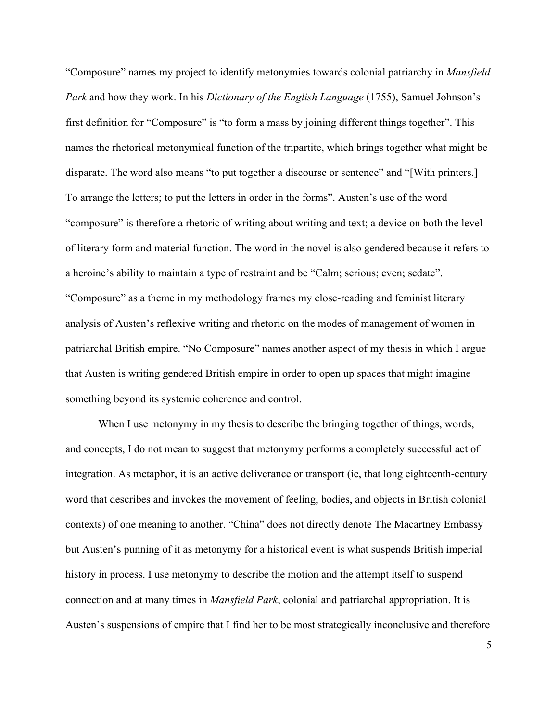"Composure" names my project to identify metonymies towards colonial patriarchy in *Mansfield Park* and how they work. In his *Dictionary of the English Language* (1755), Samuel Johnson's first definition for "Composure" is "to form a mass by joining different things together". This names the rhetorical metonymical function of the tripartite, which brings together what might be disparate. The word also means "to put together a discourse or sentence" and "[With printers.] To arrange the letters; to put the letters in order in the forms". Austen's use of the word "composure" is therefore a rhetoric of writing about writing and text; a device on both the level of literary form and material function. The word in the novel is also gendered because it refers to a heroine's ability to maintain a type of restraint and be "Calm; serious; even; sedate". "Composure" as a theme in my methodology frames my close-reading and feminist literary analysis of Austen's reflexive writing and rhetoric on the modes of management of women in patriarchal British empire. "No Composure" names another aspect of my thesis in which I argue that Austen is writing gendered British empire in order to open up spaces that might imagine something beyond its systemic coherence and control.

When I use metonymy in my thesis to describe the bringing together of things, words, and concepts, I do not mean to suggest that metonymy performs a completely successful act of integration. As metaphor, it is an active deliverance or transport (ie, that long eighteenth-century word that describes and invokes the movement of feeling, bodies, and objects in British colonial contexts) of one meaning to another. "China" does not directly denote The Macartney Embassy – but Austen's punning of it as metonymy for a historical event is what suspends British imperial history in process. I use metonymy to describe the motion and the attempt itself to suspend connection and at many times in *Mansfield Park*, colonial and patriarchal appropriation. It is Austen's suspensions of empire that I find her to be most strategically inconclusive and therefore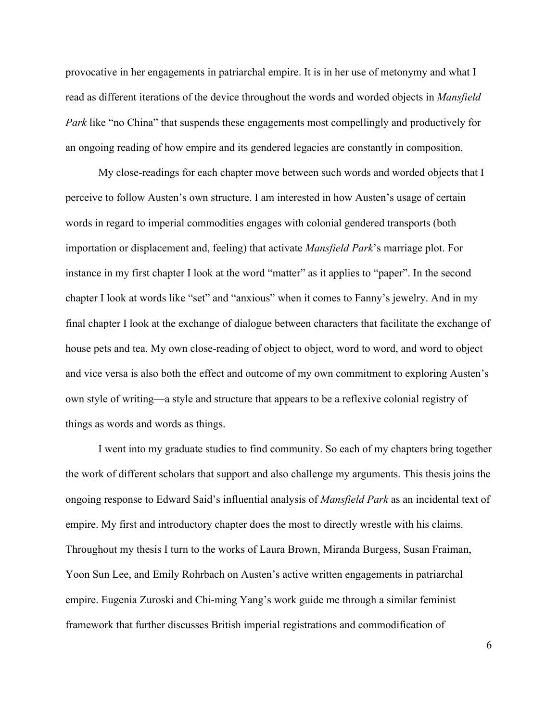provocative in her engagements in patriarchal empire. It is in her use of metonymy and what I read as different iterations of the device throughout the words and worded objects in *Mansfield Park* like "no China" that suspends these engagements most compellingly and productively for an ongoing reading of how empire and its gendered legacies are constantly in composition.

My close-readings for each chapter move between such words and worded objects that I perceive to follow Austen's own structure. I am interested in how Austen's usage of certain words in regard to imperial commodities engages with colonial gendered transports (both importation or displacement and, feeling) that activate *Mansfield Park*'s marriage plot. For instance in my first chapter I look at the word "matter" as it applies to "paper". In the second chapter I look at words like "set" and "anxious" when it comes to Fanny's jewelry. And in my final chapter I look at the exchange of dialogue between characters that facilitate the exchange of house pets and tea. My own close-reading of object to object, word to word, and word to object and vice versa is also both the effect and outcome of my own commitment to exploring Austen's own style of writing—a style and structure that appears to be a reflexive colonial registry of things as words and words as things.

I went into my graduate studies to find community. So each of my chapters bring together the work of different scholars that support and also challenge my arguments. This thesis joins the ongoing response to Edward Said's influential analysis of *Mansfield Park* as an incidental text of empire. My first and introductory chapter does the most to directly wrestle with his claims. Throughout my thesis I turn to the works of Laura Brown, Miranda Burgess, Susan Fraiman, Yoon Sun Lee, and Emily Rohrbach on Austen's active written engagements in patriarchal empire. Eugenia Zuroski and Chi-ming Yang's work guide me through a similar feminist framework that further discusses British imperial registrations and commodification of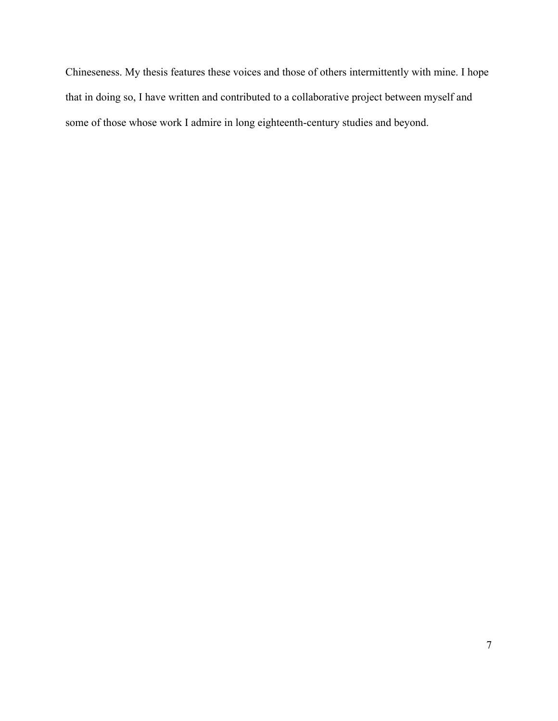Chineseness. My thesis features these voices and those of others intermittently with mine. I hope that in doing so, I have written and contributed to a collaborative project between myself and some of those whose work I admire in long eighteenth-century studies and beyond.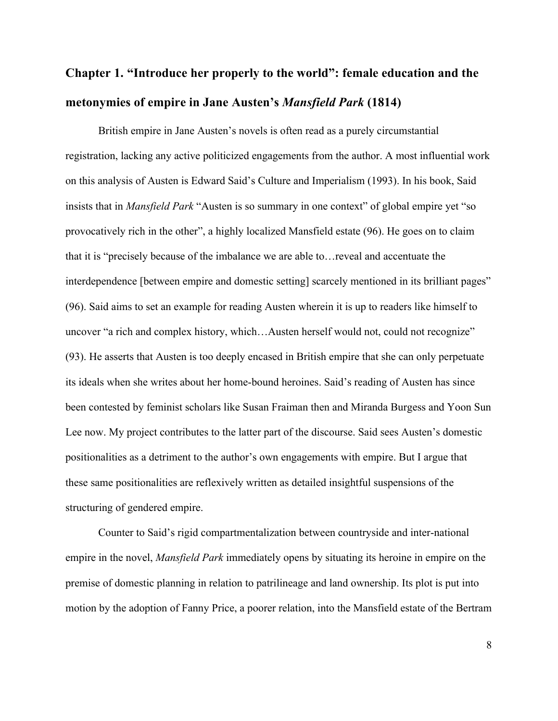# **Chapter 1. "Introduce her properly to the world": female education and the metonymies of empire in Jane Austen's** *Mansfield Park* **(1814)**

British empire in Jane Austen's novels is often read as a purely circumstantial registration, lacking any active politicized engagements from the author. A most influential work on this analysis of Austen is Edward Said's Culture and Imperialism (1993). In his book, Said insists that in *Mansfield Park* "Austen is so summary in one context" of global empire yet "so provocatively rich in the other", a highly localized Mansfield estate (96). He goes on to claim that it is "precisely because of the imbalance we are able to…reveal and accentuate the interdependence [between empire and domestic setting] scarcely mentioned in its brilliant pages" (96). Said aims to set an example for reading Austen wherein it is up to readers like himself to uncover "a rich and complex history, which...Austen herself would not, could not recognize" (93). He asserts that Austen is too deeply encased in British empire that she can only perpetuate its ideals when she writes about her home-bound heroines. Said's reading of Austen has since been contested by feminist scholars like Susan Fraiman then and Miranda Burgess and Yoon Sun Lee now. My project contributes to the latter part of the discourse. Said sees Austen's domestic positionalities as a detriment to the author's own engagements with empire. But I argue that these same positionalities are reflexively written as detailed insightful suspensions of the structuring of gendered empire.

Counter to Said's rigid compartmentalization between countryside and inter-national empire in the novel, *Mansfield Park* immediately opens by situating its heroine in empire on the premise of domestic planning in relation to patrilineage and land ownership. Its plot is put into motion by the adoption of Fanny Price, a poorer relation, into the Mansfield estate of the Bertram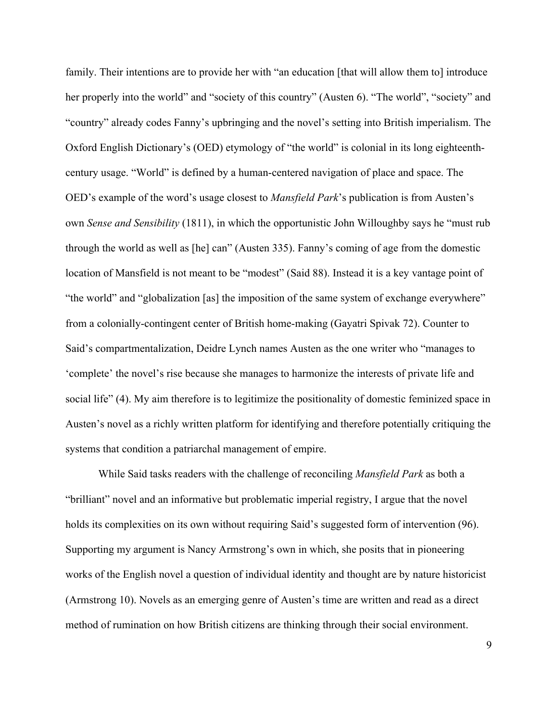family. Their intentions are to provide her with "an education [that will allow them to] introduce her properly into the world" and "society of this country" (Austen 6). "The world", "society" and "country" already codes Fanny's upbringing and the novel's setting into British imperialism. The Oxford English Dictionary's (OED) etymology of "the world" is colonial in its long eighteenthcentury usage. "World" is defined by a human-centered navigation of place and space. The OED's example of the word's usage closest to *Mansfield Park*'s publication is from Austen's own *Sense and Sensibility* (1811), in which the opportunistic John Willoughby says he "must rub through the world as well as [he] can" (Austen 335). Fanny's coming of age from the domestic location of Mansfield is not meant to be "modest" (Said 88). Instead it is a key vantage point of "the world" and "globalization [as] the imposition of the same system of exchange everywhere" from a colonially-contingent center of British home-making (Gayatri Spivak 72). Counter to Said's compartmentalization, Deidre Lynch names Austen as the one writer who "manages to 'complete' the novel's rise because she manages to harmonize the interests of private life and social life" (4). My aim therefore is to legitimize the positionality of domestic feminized space in Austen's novel as a richly written platform for identifying and therefore potentially critiquing the systems that condition a patriarchal management of empire.

While Said tasks readers with the challenge of reconciling *Mansfield Park* as both a "brilliant" novel and an informative but problematic imperial registry, I argue that the novel holds its complexities on its own without requiring Said's suggested form of intervention (96). Supporting my argument is Nancy Armstrong's own in which, she posits that in pioneering works of the English novel a question of individual identity and thought are by nature historicist (Armstrong 10). Novels as an emerging genre of Austen's time are written and read as a direct method of rumination on how British citizens are thinking through their social environment.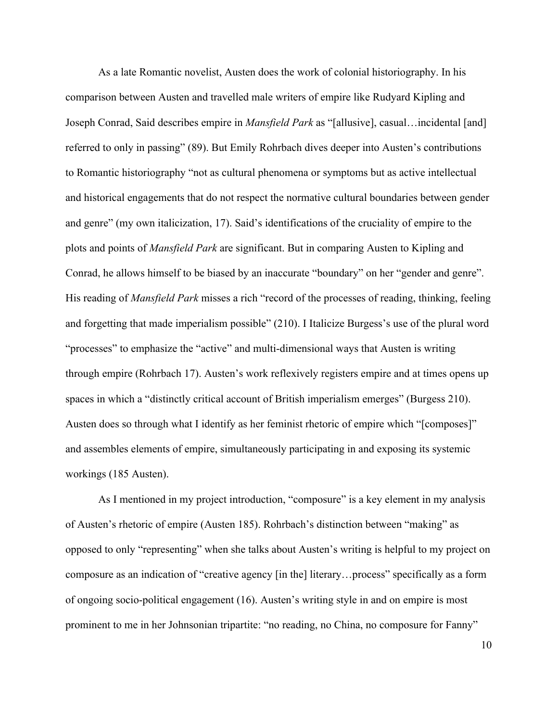As a late Romantic novelist, Austen does the work of colonial historiography. In his comparison between Austen and travelled male writers of empire like Rudyard Kipling and Joseph Conrad, Said describes empire in *Mansfield Park* as "[allusive], casual…incidental [and] referred to only in passing" (89). But Emily Rohrbach dives deeper into Austen's contributions to Romantic historiography "not as cultural phenomena or symptoms but as active intellectual and historical engagements that do not respect the normative cultural boundaries between gender and genre" (my own italicization, 17). Said's identifications of the cruciality of empire to the plots and points of *Mansfield Park* are significant. But in comparing Austen to Kipling and Conrad, he allows himself to be biased by an inaccurate "boundary" on her "gender and genre". His reading of *Mansfield Park* misses a rich "record of the processes of reading, thinking, feeling and forgetting that made imperialism possible" (210). I Italicize Burgess's use of the plural word "processes" to emphasize the "active" and multi-dimensional ways that Austen is writing through empire (Rohrbach 17). Austen's work reflexively registers empire and at times opens up spaces in which a "distinctly critical account of British imperialism emerges" (Burgess 210). Austen does so through what I identify as her feminist rhetoric of empire which "[composes]" and assembles elements of empire, simultaneously participating in and exposing its systemic workings (185 Austen).

As I mentioned in my project introduction, "composure" is a key element in my analysis of Austen's rhetoric of empire (Austen 185). Rohrbach's distinction between "making" as opposed to only "representing" when she talks about Austen's writing is helpful to my project on composure as an indication of "creative agency [in the] literary…process" specifically as a form of ongoing socio-political engagement (16). Austen's writing style in and on empire is most prominent to me in her Johnsonian tripartite: "no reading, no China, no composure for Fanny"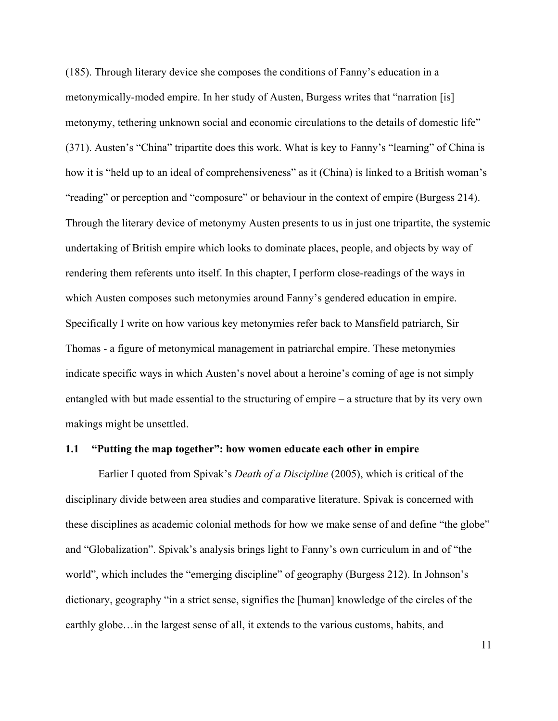(185). Through literary device she composes the conditions of Fanny's education in a metonymically-moded empire. In her study of Austen, Burgess writes that "narration [is] metonymy, tethering unknown social and economic circulations to the details of domestic life" (371). Austen's "China" tripartite does this work. What is key to Fanny's "learning" of China is how it is "held up to an ideal of comprehensiveness" as it (China) is linked to a British woman's "reading" or perception and "composure" or behaviour in the context of empire (Burgess 214). Through the literary device of metonymy Austen presents to us in just one tripartite, the systemic undertaking of British empire which looks to dominate places, people, and objects by way of rendering them referents unto itself. In this chapter, I perform close-readings of the ways in which Austen composes such metonymies around Fanny's gendered education in empire. Specifically I write on how various key metonymies refer back to Mansfield patriarch, Sir Thomas - a figure of metonymical management in patriarchal empire. These metonymies indicate specific ways in which Austen's novel about a heroine's coming of age is not simply entangled with but made essential to the structuring of empire – a structure that by its very own makings might be unsettled.

#### **1.1 "Putting the map together": how women educate each other in empire**

Earlier I quoted from Spivak's *Death of a Discipline* (2005), which is critical of the disciplinary divide between area studies and comparative literature. Spivak is concerned with these disciplines as academic colonial methods for how we make sense of and define "the globe" and "Globalization". Spivak's analysis brings light to Fanny's own curriculum in and of "the world", which includes the "emerging discipline" of geography (Burgess 212). In Johnson's dictionary, geography "in a strict sense, signifies the [human] knowledge of the circles of the earthly globe…in the largest sense of all, it extends to the various customs, habits, and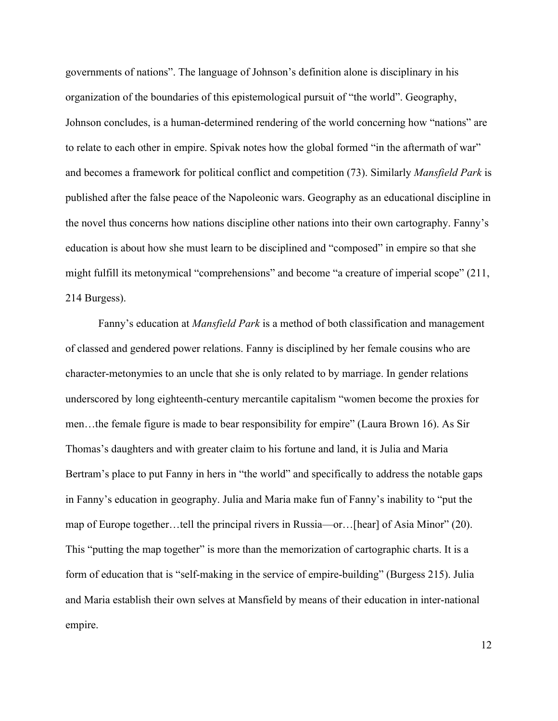governments of nations". The language of Johnson's definition alone is disciplinary in his organization of the boundaries of this epistemological pursuit of "the world". Geography, Johnson concludes, is a human-determined rendering of the world concerning how "nations" are to relate to each other in empire. Spivak notes how the global formed "in the aftermath of war" and becomes a framework for political conflict and competition (73). Similarly *Mansfield Park* is published after the false peace of the Napoleonic wars. Geography as an educational discipline in the novel thus concerns how nations discipline other nations into their own cartography. Fanny's education is about how she must learn to be disciplined and "composed" in empire so that she might fulfill its metonymical "comprehensions" and become "a creature of imperial scope" (211, 214 Burgess).

Fanny's education at *Mansfield Park* is a method of both classification and management of classed and gendered power relations. Fanny is disciplined by her female cousins who are character-metonymies to an uncle that she is only related to by marriage. In gender relations underscored by long eighteenth-century mercantile capitalism "women become the proxies for men…the female figure is made to bear responsibility for empire" (Laura Brown 16). As Sir Thomas's daughters and with greater claim to his fortune and land, it is Julia and Maria Bertram's place to put Fanny in hers in "the world" and specifically to address the notable gaps in Fanny's education in geography. Julia and Maria make fun of Fanny's inability to "put the map of Europe together…tell the principal rivers in Russia—or…[hear] of Asia Minor" (20). This "putting the map together" is more than the memorization of cartographic charts. It is a form of education that is "self-making in the service of empire-building" (Burgess 215). Julia and Maria establish their own selves at Mansfield by means of their education in inter-national empire.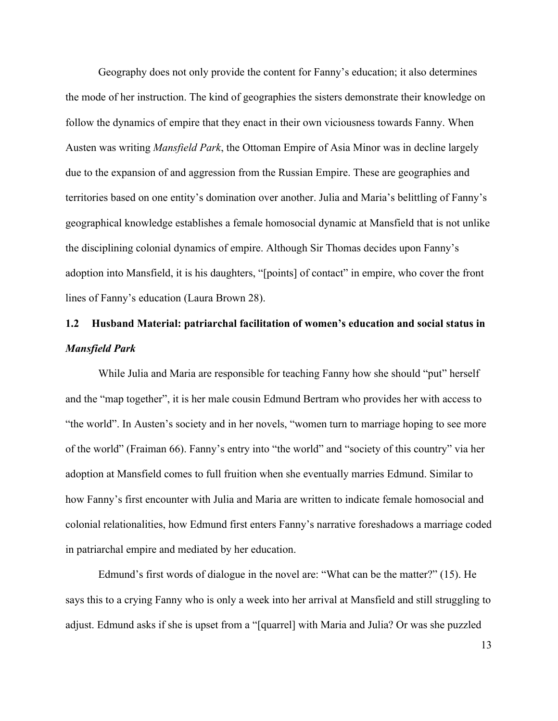Geography does not only provide the content for Fanny's education; it also determines the mode of her instruction. The kind of geographies the sisters demonstrate their knowledge on follow the dynamics of empire that they enact in their own viciousness towards Fanny. When Austen was writing *Mansfield Park*, the Ottoman Empire of Asia Minor was in decline largely due to the expansion of and aggression from the Russian Empire. These are geographies and territories based on one entity's domination over another. Julia and Maria's belittling of Fanny's geographical knowledge establishes a female homosocial dynamic at Mansfield that is not unlike the disciplining colonial dynamics of empire. Although Sir Thomas decides upon Fanny's adoption into Mansfield, it is his daughters, "[points] of contact" in empire, who cover the front lines of Fanny's education (Laura Brown 28).

# **1.2 Husband Material: patriarchal facilitation of women's education and social status in**  *Mansfield Park*

While Julia and Maria are responsible for teaching Fanny how she should "put" herself and the "map together", it is her male cousin Edmund Bertram who provides her with access to "the world". In Austen's society and in her novels, "women turn to marriage hoping to see more of the world" (Fraiman 66). Fanny's entry into "the world" and "society of this country" via her adoption at Mansfield comes to full fruition when she eventually marries Edmund. Similar to how Fanny's first encounter with Julia and Maria are written to indicate female homosocial and colonial relationalities, how Edmund first enters Fanny's narrative foreshadows a marriage coded in patriarchal empire and mediated by her education.

Edmund's first words of dialogue in the novel are: "What can be the matter?" (15). He says this to a crying Fanny who is only a week into her arrival at Mansfield and still struggling to adjust. Edmund asks if she is upset from a "[quarrel] with Maria and Julia? Or was she puzzled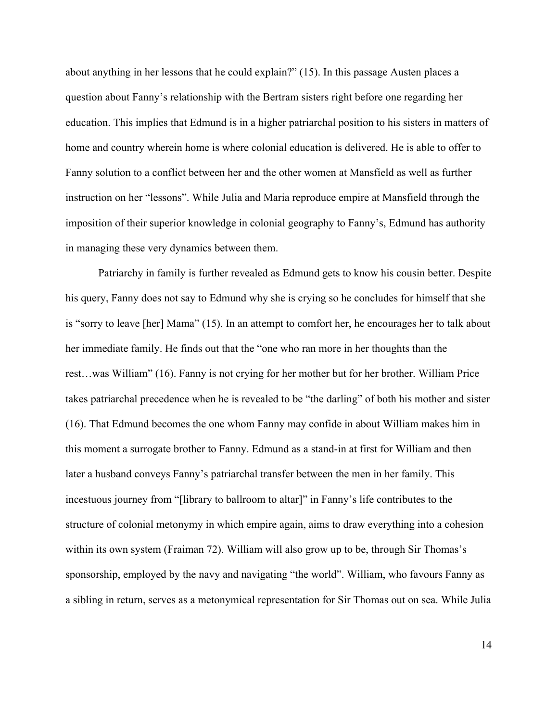about anything in her lessons that he could explain?" (15). In this passage Austen places a question about Fanny's relationship with the Bertram sisters right before one regarding her education. This implies that Edmund is in a higher patriarchal position to his sisters in matters of home and country wherein home is where colonial education is delivered. He is able to offer to Fanny solution to a conflict between her and the other women at Mansfield as well as further instruction on her "lessons". While Julia and Maria reproduce empire at Mansfield through the imposition of their superior knowledge in colonial geography to Fanny's, Edmund has authority in managing these very dynamics between them.

Patriarchy in family is further revealed as Edmund gets to know his cousin better. Despite his query, Fanny does not say to Edmund why she is crying so he concludes for himself that she is "sorry to leave [her] Mama" (15). In an attempt to comfort her, he encourages her to talk about her immediate family. He finds out that the "one who ran more in her thoughts than the rest…was William" (16). Fanny is not crying for her mother but for her brother. William Price takes patriarchal precedence when he is revealed to be "the darling" of both his mother and sister (16). That Edmund becomes the one whom Fanny may confide in about William makes him in this moment a surrogate brother to Fanny. Edmund as a stand-in at first for William and then later a husband conveys Fanny's patriarchal transfer between the men in her family. This incestuous journey from "[library to ballroom to altar]" in Fanny's life contributes to the structure of colonial metonymy in which empire again, aims to draw everything into a cohesion within its own system (Fraiman 72). William will also grow up to be, through Sir Thomas's sponsorship, employed by the navy and navigating "the world". William, who favours Fanny as a sibling in return, serves as a metonymical representation for Sir Thomas out on sea. While Julia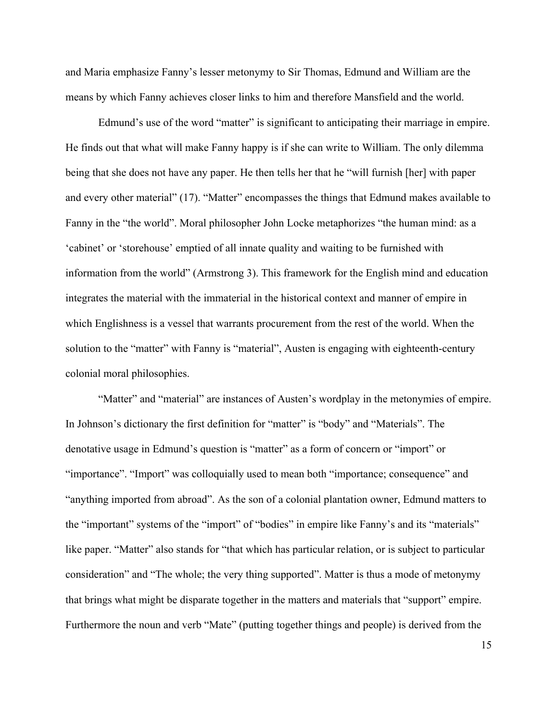and Maria emphasize Fanny's lesser metonymy to Sir Thomas, Edmund and William are the means by which Fanny achieves closer links to him and therefore Mansfield and the world.

Edmund's use of the word "matter" is significant to anticipating their marriage in empire. He finds out that what will make Fanny happy is if she can write to William. The only dilemma being that she does not have any paper. He then tells her that he "will furnish [her] with paper and every other material" (17). "Matter" encompasses the things that Edmund makes available to Fanny in the "the world". Moral philosopher John Locke metaphorizes "the human mind: as a 'cabinet' or 'storehouse' emptied of all innate quality and waiting to be furnished with information from the world" (Armstrong 3). This framework for the English mind and education integrates the material with the immaterial in the historical context and manner of empire in which Englishness is a vessel that warrants procurement from the rest of the world. When the solution to the "matter" with Fanny is "material", Austen is engaging with eighteenth-century colonial moral philosophies.

"Matter" and "material" are instances of Austen's wordplay in the metonymies of empire. In Johnson's dictionary the first definition for "matter" is "body" and "Materials". The denotative usage in Edmund's question is "matter" as a form of concern or "import" or "importance". "Import" was colloquially used to mean both "importance; consequence" and "anything imported from abroad". As the son of a colonial plantation owner, Edmund matters to the "important" systems of the "import" of "bodies" in empire like Fanny's and its "materials" like paper. "Matter" also stands for "that which has particular relation, or is subject to particular consideration" and "The whole; the very thing supported". Matter is thus a mode of metonymy that brings what might be disparate together in the matters and materials that "support" empire. Furthermore the noun and verb "Mate" (putting together things and people) is derived from the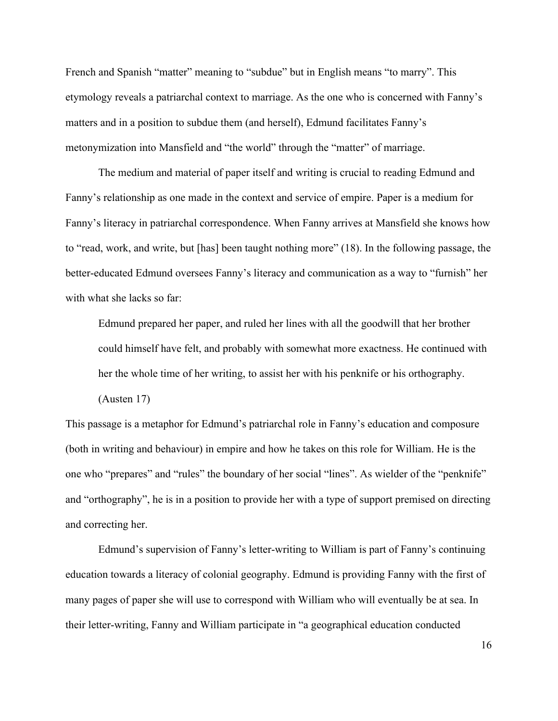French and Spanish "matter" meaning to "subdue" but in English means "to marry". This etymology reveals a patriarchal context to marriage. As the one who is concerned with Fanny's matters and in a position to subdue them (and herself), Edmund facilitates Fanny's metonymization into Mansfield and "the world" through the "matter" of marriage.

The medium and material of paper itself and writing is crucial to reading Edmund and Fanny's relationship as one made in the context and service of empire. Paper is a medium for Fanny's literacy in patriarchal correspondence. When Fanny arrives at Mansfield she knows how to "read, work, and write, but [has] been taught nothing more" (18). In the following passage, the better-educated Edmund oversees Fanny's literacy and communication as a way to "furnish" her with what she lacks so far:

Edmund prepared her paper, and ruled her lines with all the goodwill that her brother could himself have felt, and probably with somewhat more exactness. He continued with her the whole time of her writing, to assist her with his penknife or his orthography.

(Austen 17)

This passage is a metaphor for Edmund's patriarchal role in Fanny's education and composure (both in writing and behaviour) in empire and how he takes on this role for William. He is the one who "prepares" and "rules" the boundary of her social "lines". As wielder of the "penknife" and "orthography", he is in a position to provide her with a type of support premised on directing and correcting her.

Edmund's supervision of Fanny's letter-writing to William is part of Fanny's continuing education towards a literacy of colonial geography. Edmund is providing Fanny with the first of many pages of paper she will use to correspond with William who will eventually be at sea. In their letter-writing, Fanny and William participate in "a geographical education conducted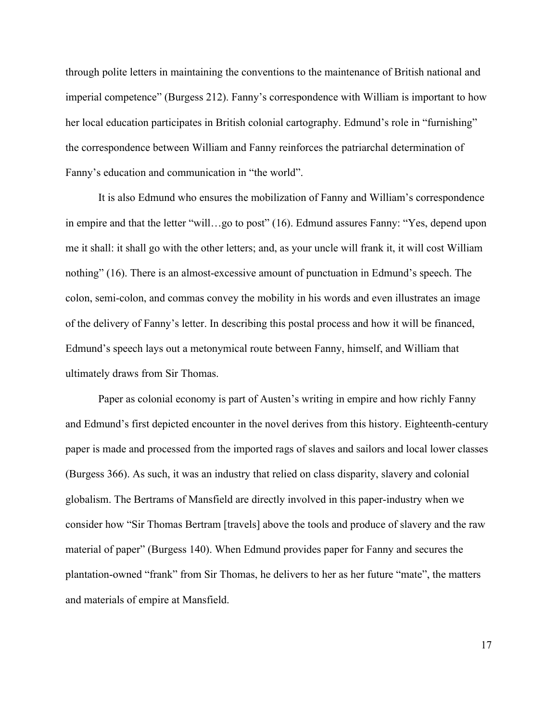through polite letters in maintaining the conventions to the maintenance of British national and imperial competence" (Burgess 212). Fanny's correspondence with William is important to how her local education participates in British colonial cartography. Edmund's role in "furnishing" the correspondence between William and Fanny reinforces the patriarchal determination of Fanny's education and communication in "the world".

It is also Edmund who ensures the mobilization of Fanny and William's correspondence in empire and that the letter "will…go to post" (16). Edmund assures Fanny: "Yes, depend upon me it shall: it shall go with the other letters; and, as your uncle will frank it, it will cost William nothing" (16). There is an almost-excessive amount of punctuation in Edmund's speech. The colon, semi-colon, and commas convey the mobility in his words and even illustrates an image of the delivery of Fanny's letter. In describing this postal process and how it will be financed, Edmund's speech lays out a metonymical route between Fanny, himself, and William that ultimately draws from Sir Thomas.

Paper as colonial economy is part of Austen's writing in empire and how richly Fanny and Edmund's first depicted encounter in the novel derives from this history. Eighteenth-century paper is made and processed from the imported rags of slaves and sailors and local lower classes (Burgess 366). As such, it was an industry that relied on class disparity, slavery and colonial globalism. The Bertrams of Mansfield are directly involved in this paper-industry when we consider how "Sir Thomas Bertram [travels] above the tools and produce of slavery and the raw material of paper" (Burgess 140). When Edmund provides paper for Fanny and secures the plantation-owned "frank" from Sir Thomas, he delivers to her as her future "mate", the matters and materials of empire at Mansfield.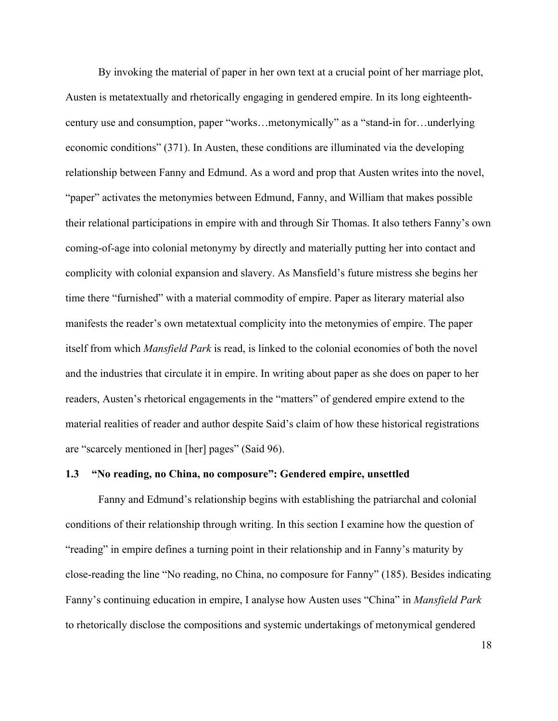By invoking the material of paper in her own text at a crucial point of her marriage plot, Austen is metatextually and rhetorically engaging in gendered empire. In its long eighteenthcentury use and consumption, paper "works…metonymically" as a "stand-in for…underlying economic conditions" (371). In Austen, these conditions are illuminated via the developing relationship between Fanny and Edmund. As a word and prop that Austen writes into the novel, "paper" activates the metonymies between Edmund, Fanny, and William that makes possible their relational participations in empire with and through Sir Thomas. It also tethers Fanny's own coming-of-age into colonial metonymy by directly and materially putting her into contact and complicity with colonial expansion and slavery. As Mansfield's future mistress she begins her time there "furnished" with a material commodity of empire. Paper as literary material also manifests the reader's own metatextual complicity into the metonymies of empire. The paper itself from which *Mansfield Park* is read, is linked to the colonial economies of both the novel and the industries that circulate it in empire. In writing about paper as she does on paper to her readers, Austen's rhetorical engagements in the "matters" of gendered empire extend to the material realities of reader and author despite Said's claim of how these historical registrations are "scarcely mentioned in [her] pages" (Said 96).

#### **1.3 "No reading, no China, no composure": Gendered empire, unsettled**

Fanny and Edmund's relationship begins with establishing the patriarchal and colonial conditions of their relationship through writing. In this section I examine how the question of "reading" in empire defines a turning point in their relationship and in Fanny's maturity by close-reading the line "No reading, no China, no composure for Fanny" (185). Besides indicating Fanny's continuing education in empire, I analyse how Austen uses "China" in *Mansfield Park* to rhetorically disclose the compositions and systemic undertakings of metonymical gendered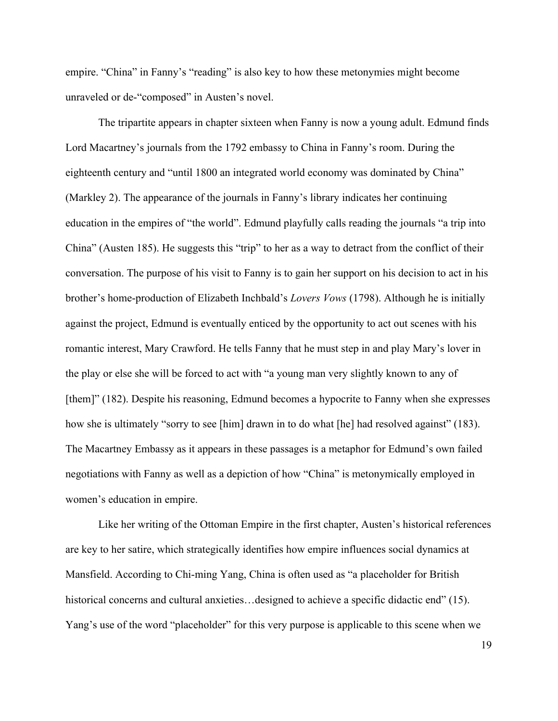empire. "China" in Fanny's "reading" is also key to how these metonymies might become unraveled or de-"composed" in Austen's novel.

The tripartite appears in chapter sixteen when Fanny is now a young adult. Edmund finds Lord Macartney's journals from the 1792 embassy to China in Fanny's room. During the eighteenth century and "until 1800 an integrated world economy was dominated by China" (Markley 2). The appearance of the journals in Fanny's library indicates her continuing education in the empires of "the world". Edmund playfully calls reading the journals "a trip into China" (Austen 185). He suggests this "trip" to her as a way to detract from the conflict of their conversation. The purpose of his visit to Fanny is to gain her support on his decision to act in his brother's home-production of Elizabeth Inchbald's *Lovers Vows* (1798). Although he is initially against the project, Edmund is eventually enticed by the opportunity to act out scenes with his romantic interest, Mary Crawford. He tells Fanny that he must step in and play Mary's lover in the play or else she will be forced to act with "a young man very slightly known to any of [them]" (182). Despite his reasoning, Edmund becomes a hypocrite to Fanny when she expresses how she is ultimately "sorry to see [him] drawn in to do what [he] had resolved against" (183). The Macartney Embassy as it appears in these passages is a metaphor for Edmund's own failed negotiations with Fanny as well as a depiction of how "China" is metonymically employed in women's education in empire.

Like her writing of the Ottoman Empire in the first chapter, Austen's historical references are key to her satire, which strategically identifies how empire influences social dynamics at Mansfield. According to Chi-ming Yang, China is often used as "a placeholder for British historical concerns and cultural anxieties...designed to achieve a specific didactic end" (15). Yang's use of the word "placeholder" for this very purpose is applicable to this scene when we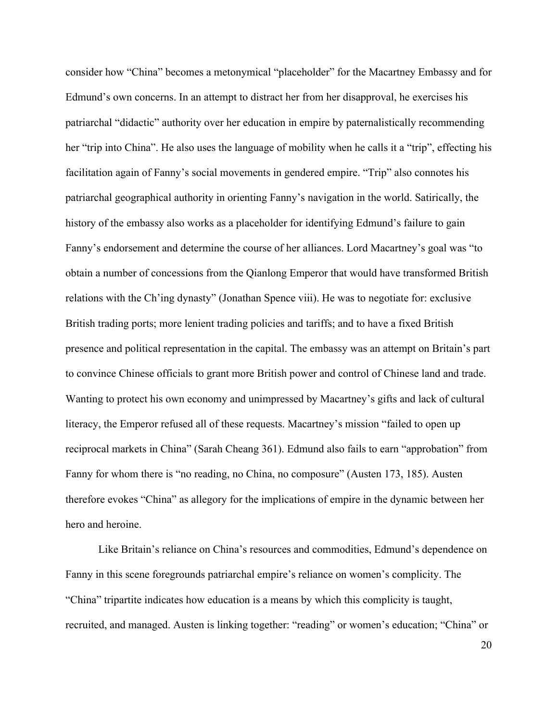consider how "China" becomes a metonymical "placeholder" for the Macartney Embassy and for Edmund's own concerns. In an attempt to distract her from her disapproval, he exercises his patriarchal "didactic" authority over her education in empire by paternalistically recommending her "trip into China". He also uses the language of mobility when he calls it a "trip", effecting his facilitation again of Fanny's social movements in gendered empire. "Trip" also connotes his patriarchal geographical authority in orienting Fanny's navigation in the world. Satirically, the history of the embassy also works as a placeholder for identifying Edmund's failure to gain Fanny's endorsement and determine the course of her alliances. Lord Macartney's goal was "to obtain a number of concessions from the Qianlong Emperor that would have transformed British relations with the Ch'ing dynasty" (Jonathan Spence viii). He was to negotiate for: exclusive British trading ports; more lenient trading policies and tariffs; and to have a fixed British presence and political representation in the capital. The embassy was an attempt on Britain's part to convince Chinese officials to grant more British power and control of Chinese land and trade. Wanting to protect his own economy and unimpressed by Macartney's gifts and lack of cultural literacy, the Emperor refused all of these requests. Macartney's mission "failed to open up reciprocal markets in China" (Sarah Cheang 361). Edmund also fails to earn "approbation" from Fanny for whom there is "no reading, no China, no composure" (Austen 173, 185). Austen therefore evokes "China" as allegory for the implications of empire in the dynamic between her hero and heroine.

Like Britain's reliance on China's resources and commodities, Edmund's dependence on Fanny in this scene foregrounds patriarchal empire's reliance on women's complicity. The "China" tripartite indicates how education is a means by which this complicity is taught, recruited, and managed. Austen is linking together: "reading" or women's education; "China" or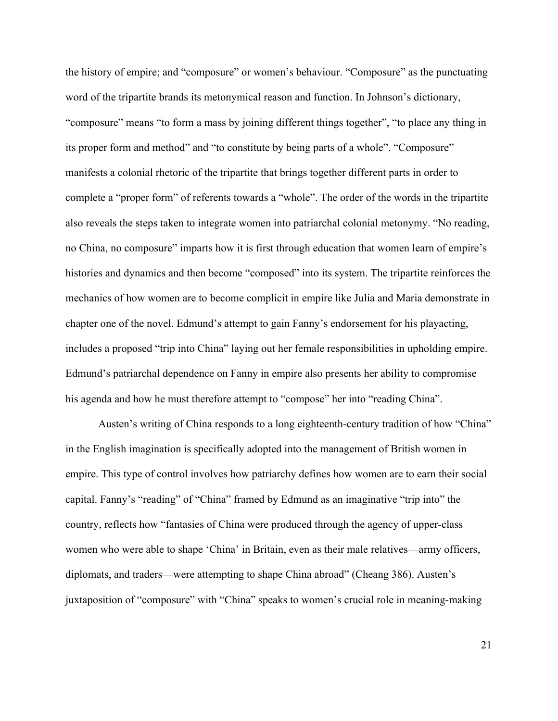the history of empire; and "composure" or women's behaviour. "Composure" as the punctuating word of the tripartite brands its metonymical reason and function. In Johnson's dictionary, "composure" means "to form a mass by joining different things together", "to place any thing in its proper form and method" and "to constitute by being parts of a whole". "Composure" manifests a colonial rhetoric of the tripartite that brings together different parts in order to complete a "proper form" of referents towards a "whole". The order of the words in the tripartite also reveals the steps taken to integrate women into patriarchal colonial metonymy. "No reading, no China, no composure" imparts how it is first through education that women learn of empire's histories and dynamics and then become "composed" into its system. The tripartite reinforces the mechanics of how women are to become complicit in empire like Julia and Maria demonstrate in chapter one of the novel. Edmund's attempt to gain Fanny's endorsement for his playacting, includes a proposed "trip into China" laying out her female responsibilities in upholding empire. Edmund's patriarchal dependence on Fanny in empire also presents her ability to compromise his agenda and how he must therefore attempt to "compose" her into "reading China".

Austen's writing of China responds to a long eighteenth-century tradition of how "China" in the English imagination is specifically adopted into the management of British women in empire. This type of control involves how patriarchy defines how women are to earn their social capital. Fanny's "reading" of "China" framed by Edmund as an imaginative "trip into" the country, reflects how "fantasies of China were produced through the agency of upper-class women who were able to shape 'China' in Britain, even as their male relatives—army officers, diplomats, and traders—were attempting to shape China abroad" (Cheang 386). Austen's juxtaposition of "composure" with "China" speaks to women's crucial role in meaning-making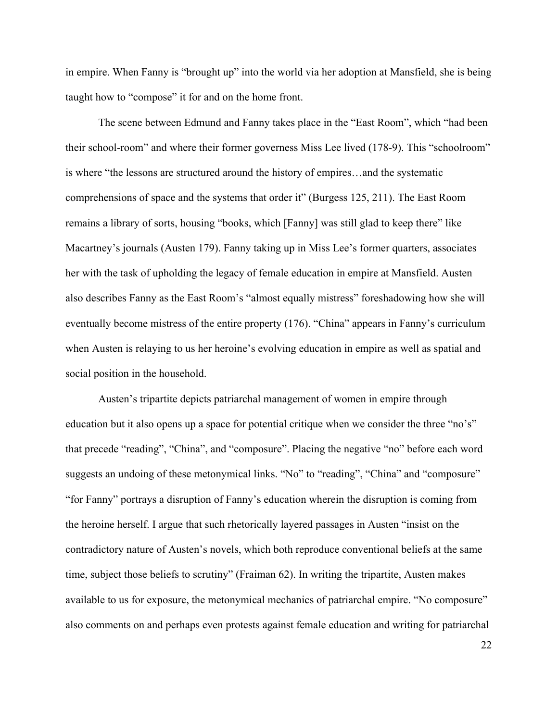in empire. When Fanny is "brought up" into the world via her adoption at Mansfield, she is being taught how to "compose" it for and on the home front.

The scene between Edmund and Fanny takes place in the "East Room", which "had been their school-room" and where their former governess Miss Lee lived (178-9). This "schoolroom" is where "the lessons are structured around the history of empires…and the systematic comprehensions of space and the systems that order it" (Burgess 125, 211). The East Room remains a library of sorts, housing "books, which [Fanny] was still glad to keep there" like Macartney's journals (Austen 179). Fanny taking up in Miss Lee's former quarters, associates her with the task of upholding the legacy of female education in empire at Mansfield. Austen also describes Fanny as the East Room's "almost equally mistress" foreshadowing how she will eventually become mistress of the entire property (176). "China" appears in Fanny's curriculum when Austen is relaying to us her heroine's evolving education in empire as well as spatial and social position in the household.

Austen's tripartite depicts patriarchal management of women in empire through education but it also opens up a space for potential critique when we consider the three "no's" that precede "reading", "China", and "composure". Placing the negative "no" before each word suggests an undoing of these metonymical links. "No" to "reading", "China" and "composure" "for Fanny" portrays a disruption of Fanny's education wherein the disruption is coming from the heroine herself. I argue that such rhetorically layered passages in Austen "insist on the contradictory nature of Austen's novels, which both reproduce conventional beliefs at the same time, subject those beliefs to scrutiny" (Fraiman 62). In writing the tripartite, Austen makes available to us for exposure, the metonymical mechanics of patriarchal empire. "No composure" also comments on and perhaps even protests against female education and writing for patriarchal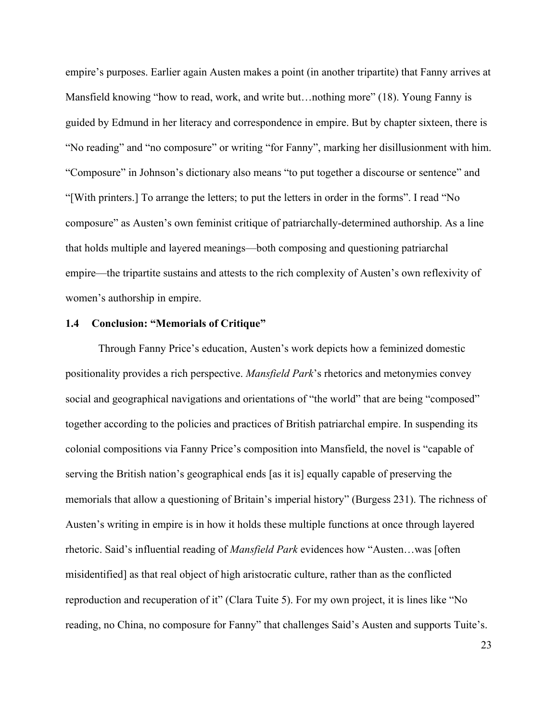empire's purposes. Earlier again Austen makes a point (in another tripartite) that Fanny arrives at Mansfield knowing "how to read, work, and write but...nothing more" (18). Young Fanny is guided by Edmund in her literacy and correspondence in empire. But by chapter sixteen, there is "No reading" and "no composure" or writing "for Fanny", marking her disillusionment with him. "Composure" in Johnson's dictionary also means "to put together a discourse or sentence" and "[With printers.] To arrange the letters; to put the letters in order in the forms". I read "No composure" as Austen's own feminist critique of patriarchally-determined authorship. As a line that holds multiple and layered meanings—both composing and questioning patriarchal empire—the tripartite sustains and attests to the rich complexity of Austen's own reflexivity of women's authorship in empire.

#### **1.4 Conclusion: "Memorials of Critique"**

Through Fanny Price's education, Austen's work depicts how a feminized domestic positionality provides a rich perspective. *Mansfield Park*'s rhetorics and metonymies convey social and geographical navigations and orientations of "the world" that are being "composed" together according to the policies and practices of British patriarchal empire. In suspending its colonial compositions via Fanny Price's composition into Mansfield, the novel is "capable of serving the British nation's geographical ends [as it is] equally capable of preserving the memorials that allow a questioning of Britain's imperial history" (Burgess 231). The richness of Austen's writing in empire is in how it holds these multiple functions at once through layered rhetoric. Said's influential reading of *Mansfield Park* evidences how "Austen…was [often misidentified] as that real object of high aristocratic culture, rather than as the conflicted reproduction and recuperation of it" (Clara Tuite 5). For my own project, it is lines like "No reading, no China, no composure for Fanny" that challenges Said's Austen and supports Tuite's.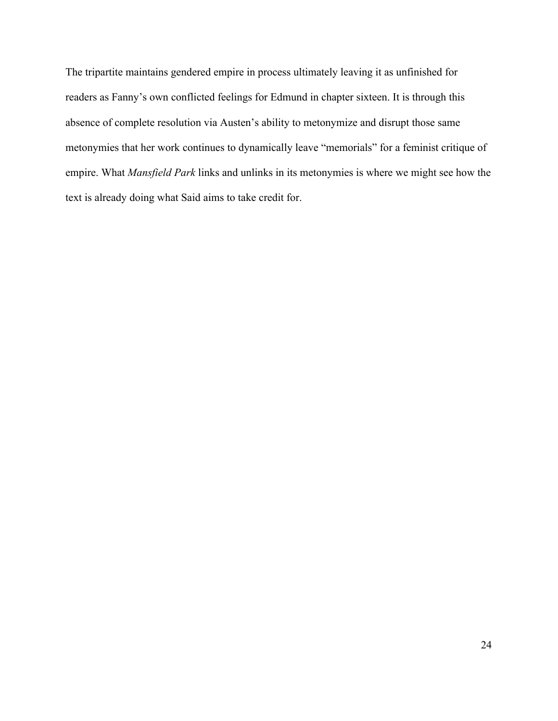The tripartite maintains gendered empire in process ultimately leaving it as unfinished for readers as Fanny's own conflicted feelings for Edmund in chapter sixteen. It is through this absence of complete resolution via Austen's ability to metonymize and disrupt those same metonymies that her work continues to dynamically leave "memorials" for a feminist critique of empire. What *Mansfield Park* links and unlinks in its metonymies is where we might see how the text is already doing what Said aims to take credit for.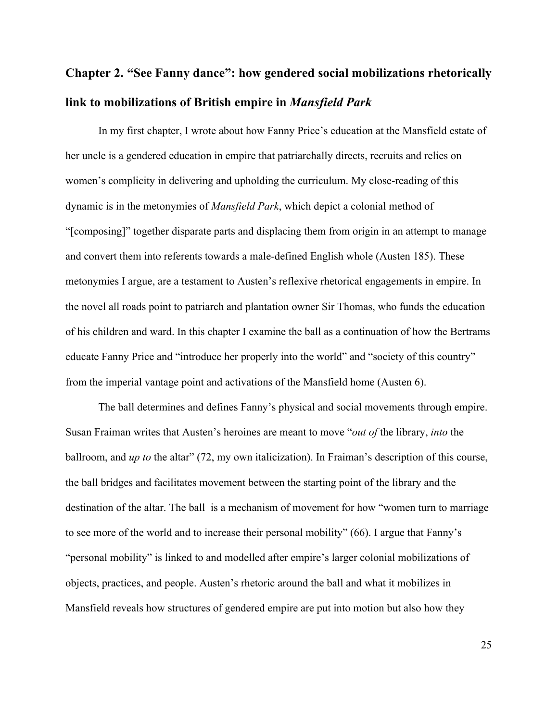# **Chapter 2. "See Fanny dance": how gendered social mobilizations rhetorically link to mobilizations of British empire in** *Mansfield Park*

In my first chapter, I wrote about how Fanny Price's education at the Mansfield estate of her uncle is a gendered education in empire that patriarchally directs, recruits and relies on women's complicity in delivering and upholding the curriculum. My close-reading of this dynamic is in the metonymies of *Mansfield Park*, which depict a colonial method of "[composing]" together disparate parts and displacing them from origin in an attempt to manage and convert them into referents towards a male-defined English whole (Austen 185). These metonymies I argue, are a testament to Austen's reflexive rhetorical engagements in empire. In the novel all roads point to patriarch and plantation owner Sir Thomas, who funds the education of his children and ward. In this chapter I examine the ball as a continuation of how the Bertrams educate Fanny Price and "introduce her properly into the world" and "society of this country" from the imperial vantage point and activations of the Mansfield home (Austen 6).

The ball determines and defines Fanny's physical and social movements through empire. Susan Fraiman writes that Austen's heroines are meant to move "*out of* the library, *into* the ballroom, and *up to* the altar" (72, my own italicization). In Fraiman's description of this course, the ball bridges and facilitates movement between the starting point of the library and the destination of the altar. The ball is a mechanism of movement for how "women turn to marriage to see more of the world and to increase their personal mobility" (66). I argue that Fanny's "personal mobility" is linked to and modelled after empire's larger colonial mobilizations of objects, practices, and people. Austen's rhetoric around the ball and what it mobilizes in Mansfield reveals how structures of gendered empire are put into motion but also how they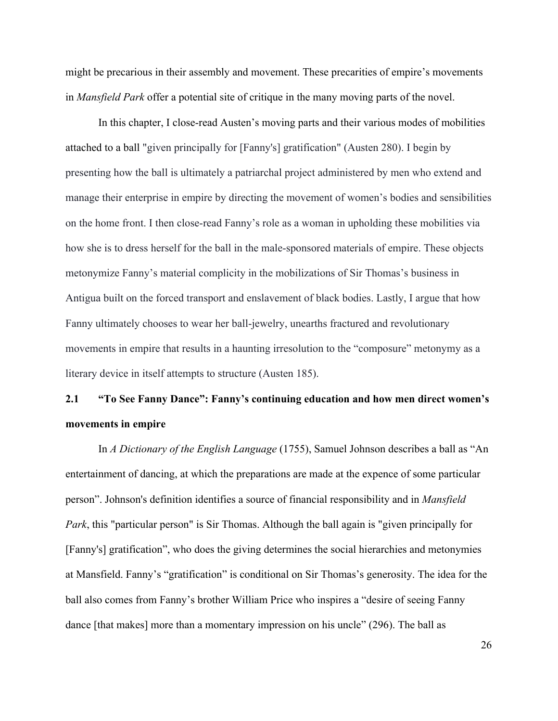might be precarious in their assembly and movement. These precarities of empire's movements in *Mansfield Park* offer a potential site of critique in the many moving parts of the novel.

In this chapter, I close-read Austen's moving parts and their various modes of mobilities attached to a ball "given principally for [Fanny's] gratification" (Austen 280). I begin by presenting how the ball is ultimately a patriarchal project administered by men who extend and manage their enterprise in empire by directing the movement of women's bodies and sensibilities on the home front. I then close-read Fanny's role as a woman in upholding these mobilities via how she is to dress herself for the ball in the male-sponsored materials of empire. These objects metonymize Fanny's material complicity in the mobilizations of Sir Thomas's business in Antigua built on the forced transport and enslavement of black bodies. Lastly, I argue that how Fanny ultimately chooses to wear her ball-jewelry, unearths fractured and revolutionary movements in empire that results in a haunting irresolution to the "composure" metonymy as a literary device in itself attempts to structure (Austen 185).

### **2.1 "To See Fanny Dance": Fanny's continuing education and how men direct women's movements in empire**

In *A Dictionary of the English Language* (1755), Samuel Johnson describes a ball as "An entertainment of dancing, at which the preparations are made at the expence of some particular person". Johnson's definition identifies a source of financial responsibility and in *Mansfield Park*, this "particular person" is Sir Thomas. Although the ball again is "given principally for [Fanny's] gratification", who does the giving determines the social hierarchies and metonymies at Mansfield. Fanny's "gratification" is conditional on Sir Thomas's generosity. The idea for the ball also comes from Fanny's brother William Price who inspires a "desire of seeing Fanny dance [that makes] more than a momentary impression on his uncle" (296). The ball as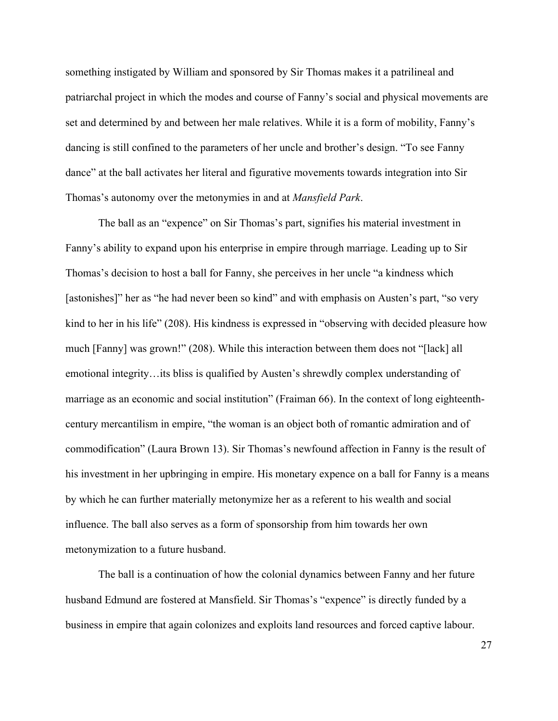something instigated by William and sponsored by Sir Thomas makes it a patrilineal and patriarchal project in which the modes and course of Fanny's social and physical movements are set and determined by and between her male relatives. While it is a form of mobility, Fanny's dancing is still confined to the parameters of her uncle and brother's design. "To see Fanny dance" at the ball activates her literal and figurative movements towards integration into Sir Thomas's autonomy over the metonymies in and at *Mansfield Park*.

The ball as an "expence" on Sir Thomas's part, signifies his material investment in Fanny's ability to expand upon his enterprise in empire through marriage. Leading up to Sir Thomas's decision to host a ball for Fanny, she perceives in her uncle "a kindness which [astonishes]" her as "he had never been so kind" and with emphasis on Austen's part, "so very kind to her in his life" (208). His kindness is expressed in "observing with decided pleasure how much [Fanny] was grown!" (208). While this interaction between them does not "[lack] all emotional integrity…its bliss is qualified by Austen's shrewdly complex understanding of marriage as an economic and social institution" (Fraiman 66). In the context of long eighteenthcentury mercantilism in empire, "the woman is an object both of romantic admiration and of commodification" (Laura Brown 13). Sir Thomas's newfound affection in Fanny is the result of his investment in her upbringing in empire. His monetary expence on a ball for Fanny is a means by which he can further materially metonymize her as a referent to his wealth and social influence. The ball also serves as a form of sponsorship from him towards her own metonymization to a future husband.

The ball is a continuation of how the colonial dynamics between Fanny and her future husband Edmund are fostered at Mansfield. Sir Thomas's "expence" is directly funded by a business in empire that again colonizes and exploits land resources and forced captive labour.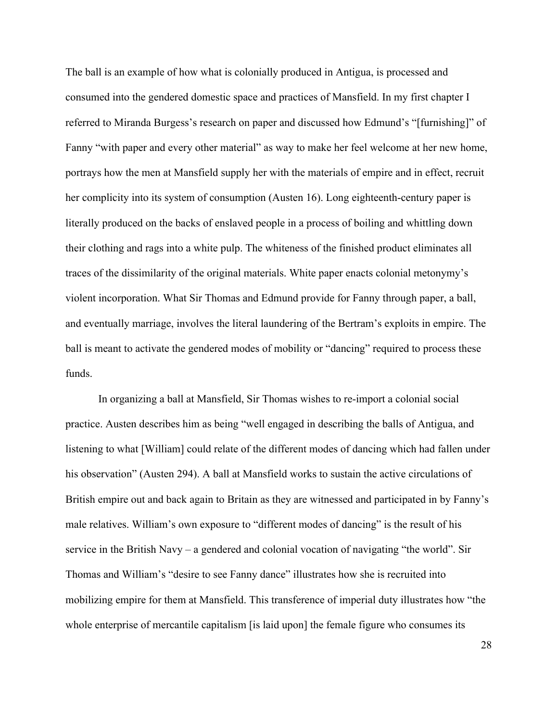The ball is an example of how what is colonially produced in Antigua, is processed and consumed into the gendered domestic space and practices of Mansfield. In my first chapter I referred to Miranda Burgess's research on paper and discussed how Edmund's "[furnishing]" of Fanny "with paper and every other material" as way to make her feel welcome at her new home, portrays how the men at Mansfield supply her with the materials of empire and in effect, recruit her complicity into its system of consumption (Austen 16). Long eighteenth-century paper is literally produced on the backs of enslaved people in a process of boiling and whittling down their clothing and rags into a white pulp. The whiteness of the finished product eliminates all traces of the dissimilarity of the original materials. White paper enacts colonial metonymy's violent incorporation. What Sir Thomas and Edmund provide for Fanny through paper, a ball, and eventually marriage, involves the literal laundering of the Bertram's exploits in empire. The ball is meant to activate the gendered modes of mobility or "dancing" required to process these funds.

In organizing a ball at Mansfield, Sir Thomas wishes to re-import a colonial social practice. Austen describes him as being "well engaged in describing the balls of Antigua, and listening to what [William] could relate of the different modes of dancing which had fallen under his observation" (Austen 294). A ball at Mansfield works to sustain the active circulations of British empire out and back again to Britain as they are witnessed and participated in by Fanny's male relatives. William's own exposure to "different modes of dancing" is the result of his service in the British Navy – a gendered and colonial vocation of navigating "the world". Sir Thomas and William's "desire to see Fanny dance" illustrates how she is recruited into mobilizing empire for them at Mansfield. This transference of imperial duty illustrates how "the whole enterprise of mercantile capitalism [is laid upon] the female figure who consumes its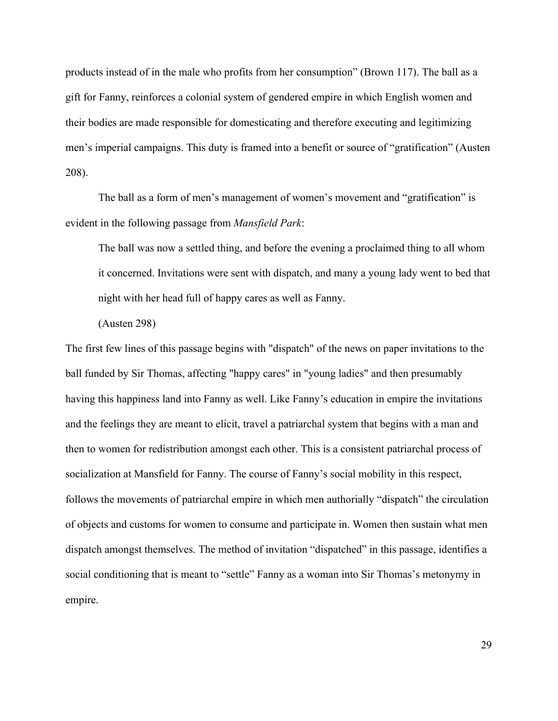products instead of in the male who profits from her consumption" (Brown 117). The ball as a gift for Fanny, reinforces a colonial system of gendered empire in which English women and their bodies are made responsible for domesticating and therefore executing and legitimizing men's imperial campaigns. This duty is framed into a benefit or source of "gratification" (Austen 208).

The ball as a form of men's management of women's movement and "gratification" is evident in the following passage from *Mansfield Park*:

The ball was now a settled thing, and before the evening a proclaimed thing to all whom it concerned. Invitations were sent with dispatch, and many a young lady went to bed that night with her head full of happy cares as well as Fanny.

(Austen 298)

The first few lines of this passage begins with "dispatch" of the news on paper invitations to the ball funded by Sir Thomas, affecting "happy cares" in "young ladies" and then presumably having this happiness land into Fanny as well. Like Fanny's education in empire the invitations and the feelings they are meant to elicit, travel a patriarchal system that begins with a man and then to women for redistribution amongst each other. This is a consistent patriarchal process of socialization at Mansfield for Fanny. The course of Fanny's social mobility in this respect, follows the movements of patriarchal empire in which men authorially "dispatch" the circulation of objects and customs for women to consume and participate in. Women then sustain what men dispatch amongst themselves. The method of invitation "dispatched" in this passage, identifies a social conditioning that is meant to "settle" Fanny as a woman into Sir Thomas's metonymy in empire.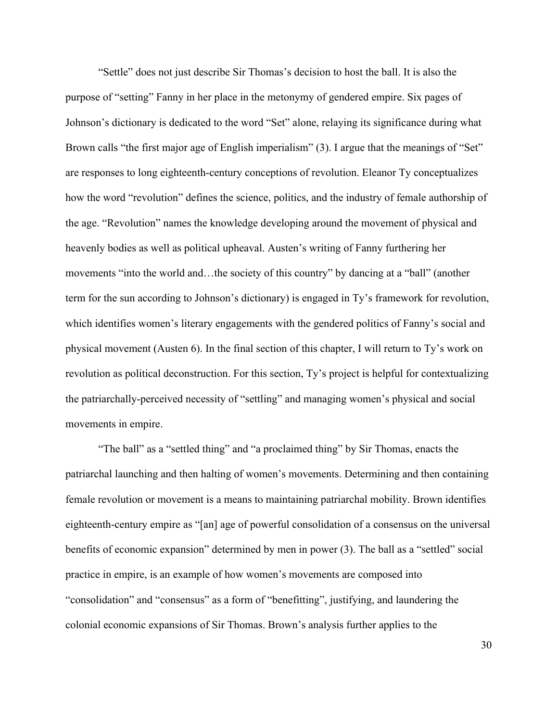"Settle" does not just describe Sir Thomas's decision to host the ball. It is also the purpose of "setting" Fanny in her place in the metonymy of gendered empire. Six pages of Johnson's dictionary is dedicated to the word "Set" alone, relaying its significance during what Brown calls "the first major age of English imperialism" (3). I argue that the meanings of "Set" are responses to long eighteenth-century conceptions of revolution. Eleanor Ty conceptualizes how the word "revolution" defines the science, politics, and the industry of female authorship of the age. "Revolution" names the knowledge developing around the movement of physical and heavenly bodies as well as political upheaval. Austen's writing of Fanny furthering her movements "into the world and…the society of this country" by dancing at a "ball" (another term for the sun according to Johnson's dictionary) is engaged in Ty's framework for revolution, which identifies women's literary engagements with the gendered politics of Fanny's social and physical movement (Austen 6). In the final section of this chapter, I will return to Ty's work on revolution as political deconstruction. For this section, Ty's project is helpful for contextualizing the patriarchally-perceived necessity of "settling" and managing women's physical and social movements in empire.

"The ball" as a "settled thing" and "a proclaimed thing" by Sir Thomas, enacts the patriarchal launching and then halting of women's movements. Determining and then containing female revolution or movement is a means to maintaining patriarchal mobility. Brown identifies eighteenth-century empire as "[an] age of powerful consolidation of a consensus on the universal benefits of economic expansion" determined by men in power (3). The ball as a "settled" social practice in empire, is an example of how women's movements are composed into "consolidation" and "consensus" as a form of "benefitting", justifying, and laundering the colonial economic expansions of Sir Thomas. Brown's analysis further applies to the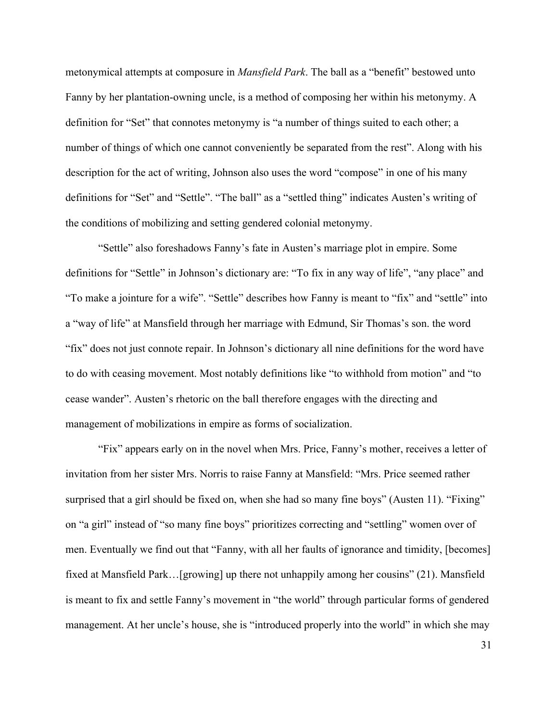metonymical attempts at composure in *Mansfield Park*. The ball as a "benefit" bestowed unto Fanny by her plantation-owning uncle, is a method of composing her within his metonymy. A definition for "Set" that connotes metonymy is "a number of things suited to each other; a number of things of which one cannot conveniently be separated from the rest". Along with his description for the act of writing, Johnson also uses the word "compose" in one of his many definitions for "Set" and "Settle". "The ball" as a "settled thing" indicates Austen's writing of the conditions of mobilizing and setting gendered colonial metonymy.

"Settle" also foreshadows Fanny's fate in Austen's marriage plot in empire. Some definitions for "Settle" in Johnson's dictionary are: "To fix in any way of life", "any place" and "To make a jointure for a wife". "Settle" describes how Fanny is meant to "fix" and "settle" into a "way of life" at Mansfield through her marriage with Edmund, Sir Thomas's son. the word "fix" does not just connote repair. In Johnson's dictionary all nine definitions for the word have to do with ceasing movement. Most notably definitions like "to withhold from motion" and "to cease wander". Austen's rhetoric on the ball therefore engages with the directing and management of mobilizations in empire as forms of socialization.

"Fix" appears early on in the novel when Mrs. Price, Fanny's mother, receives a letter of invitation from her sister Mrs. Norris to raise Fanny at Mansfield: "Mrs. Price seemed rather surprised that a girl should be fixed on, when she had so many fine boys" (Austen 11). "Fixing" on "a girl" instead of "so many fine boys" prioritizes correcting and "settling" women over of men. Eventually we find out that "Fanny, with all her faults of ignorance and timidity, [becomes] fixed at Mansfield Park…[growing] up there not unhappily among her cousins" (21). Mansfield is meant to fix and settle Fanny's movement in "the world" through particular forms of gendered management. At her uncle's house, she is "introduced properly into the world" in which she may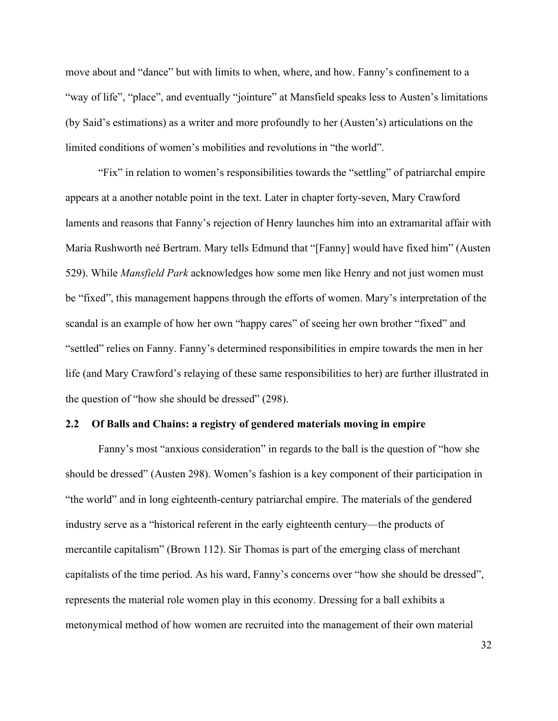move about and "dance" but with limits to when, where, and how. Fanny's confinement to a "way of life", "place", and eventually "jointure" at Mansfield speaks less to Austen's limitations (by Said's estimations) as a writer and more profoundly to her (Austen's) articulations on the limited conditions of women's mobilities and revolutions in "the world".

"Fix" in relation to women's responsibilities towards the "settling" of patriarchal empire appears at a another notable point in the text. Later in chapter forty-seven, Mary Crawford laments and reasons that Fanny's rejection of Henry launches him into an extramarital affair with Maria Rushworth neé Bertram. Mary tells Edmund that "[Fanny] would have fixed him" (Austen 529). While *Mansfield Park* acknowledges how some men like Henry and not just women must be "fixed", this management happens through the efforts of women. Mary's interpretation of the scandal is an example of how her own "happy cares" of seeing her own brother "fixed" and "settled" relies on Fanny. Fanny's determined responsibilities in empire towards the men in her life (and Mary Crawford's relaying of these same responsibilities to her) are further illustrated in the question of "how she should be dressed" (298).

#### **2.2 Of Balls and Chains: a registry of gendered materials moving in empire**

Fanny's most "anxious consideration" in regards to the ball is the question of "how she should be dressed" (Austen 298). Women's fashion is a key component of their participation in "the world" and in long eighteenth-century patriarchal empire. The materials of the gendered industry serve as a "historical referent in the early eighteenth century—the products of mercantile capitalism" (Brown 112). Sir Thomas is part of the emerging class of merchant capitalists of the time period. As his ward, Fanny's concerns over "how she should be dressed", represents the material role women play in this economy. Dressing for a ball exhibits a metonymical method of how women are recruited into the management of their own material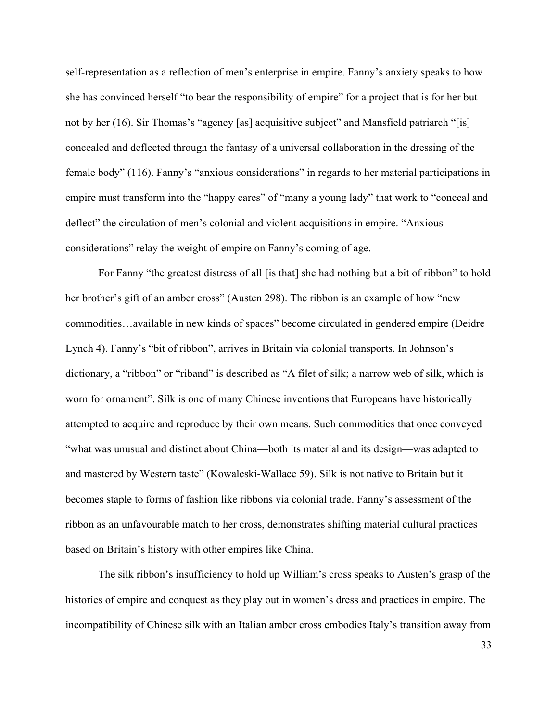self-representation as a reflection of men's enterprise in empire. Fanny's anxiety speaks to how she has convinced herself "to bear the responsibility of empire" for a project that is for her but not by her (16). Sir Thomas's "agency [as] acquisitive subject" and Mansfield patriarch "[is] concealed and deflected through the fantasy of a universal collaboration in the dressing of the female body" (116). Fanny's "anxious considerations" in regards to her material participations in empire must transform into the "happy cares" of "many a young lady" that work to "conceal and deflect" the circulation of men's colonial and violent acquisitions in empire. "Anxious considerations" relay the weight of empire on Fanny's coming of age.

For Fanny "the greatest distress of all [is that] she had nothing but a bit of ribbon" to hold her brother's gift of an amber cross" (Austen 298). The ribbon is an example of how "new commodities…available in new kinds of spaces" become circulated in gendered empire (Deidre Lynch 4). Fanny's "bit of ribbon", arrives in Britain via colonial transports. In Johnson's dictionary, a "ribbon" or "riband" is described as "A filet of silk; a narrow web of silk, which is worn for ornament". Silk is one of many Chinese inventions that Europeans have historically attempted to acquire and reproduce by their own means. Such commodities that once conveyed "what was unusual and distinct about China—both its material and its design—was adapted to and mastered by Western taste" (Kowaleski-Wallace 59). Silk is not native to Britain but it becomes staple to forms of fashion like ribbons via colonial trade. Fanny's assessment of the ribbon as an unfavourable match to her cross, demonstrates shifting material cultural practices based on Britain's history with other empires like China.

The silk ribbon's insufficiency to hold up William's cross speaks to Austen's grasp of the histories of empire and conquest as they play out in women's dress and practices in empire. The incompatibility of Chinese silk with an Italian amber cross embodies Italy's transition away from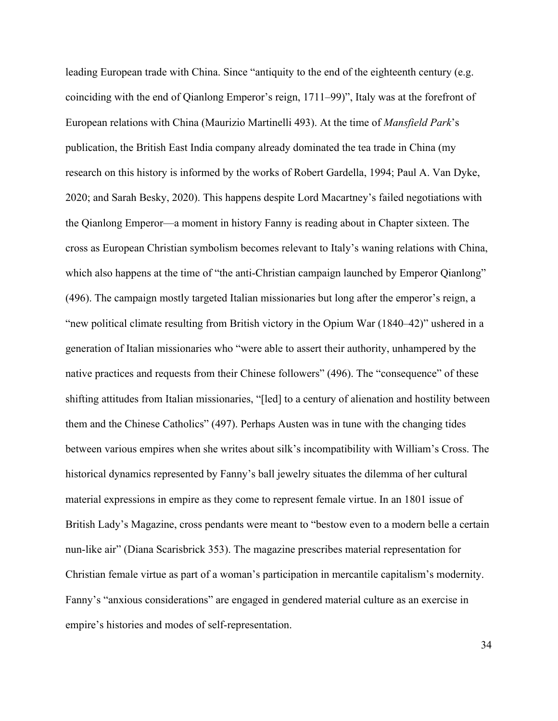leading European trade with China. Since "antiquity to the end of the eighteenth century (e.g. coinciding with the end of Qianlong Emperor's reign, 1711–99)", Italy was at the forefront of European relations with China (Maurizio Martinelli 493). At the time of *Mansfield Park*'s publication, the British East India company already dominated the tea trade in China (my research on this history is informed by the works of Robert Gardella, 1994; Paul A. Van Dyke, 2020; and Sarah Besky, 2020). This happens despite Lord Macartney's failed negotiations with the Qianlong Emperor—a moment in history Fanny is reading about in Chapter sixteen. The cross as European Christian symbolism becomes relevant to Italy's waning relations with China, which also happens at the time of "the anti-Christian campaign launched by Emperor Qianlong" (496). The campaign mostly targeted Italian missionaries but long after the emperor's reign, a "new political climate resulting from British victory in the Opium War (1840–42)" ushered in a generation of Italian missionaries who "were able to assert their authority, unhampered by the native practices and requests from their Chinese followers" (496). The "consequence" of these shifting attitudes from Italian missionaries, "[led] to a century of alienation and hostility between them and the Chinese Catholics" (497). Perhaps Austen was in tune with the changing tides between various empires when she writes about silk's incompatibility with William's Cross. The historical dynamics represented by Fanny's ball jewelry situates the dilemma of her cultural material expressions in empire as they come to represent female virtue. In an 1801 issue of British Lady's Magazine, cross pendants were meant to "bestow even to a modern belle a certain nun-like air" (Diana Scarisbrick 353). The magazine prescribes material representation for Christian female virtue as part of a woman's participation in mercantile capitalism's modernity. Fanny's "anxious considerations" are engaged in gendered material culture as an exercise in empire's histories and modes of self-representation.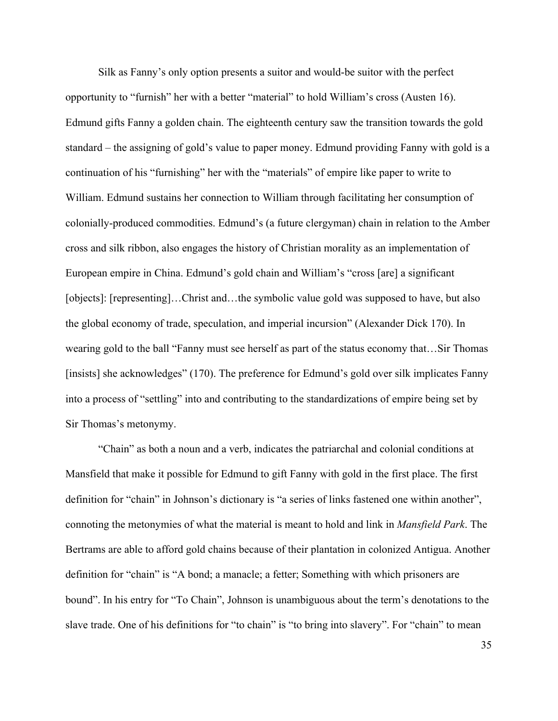Silk as Fanny's only option presents a suitor and would-be suitor with the perfect opportunity to "furnish" her with a better "material" to hold William's cross (Austen 16). Edmund gifts Fanny a golden chain. The eighteenth century saw the transition towards the gold standard – the assigning of gold's value to paper money. Edmund providing Fanny with gold is a continuation of his "furnishing" her with the "materials" of empire like paper to write to William. Edmund sustains her connection to William through facilitating her consumption of colonially-produced commodities. Edmund's (a future clergyman) chain in relation to the Amber cross and silk ribbon, also engages the history of Christian morality as an implementation of European empire in China. Edmund's gold chain and William's "cross [are] a significant [objects]: [representing]...Christ and...the symbolic value gold was supposed to have, but also the global economy of trade, speculation, and imperial incursion" (Alexander Dick 170). In wearing gold to the ball "Fanny must see herself as part of the status economy that…Sir Thomas [insists] she acknowledges" (170). The preference for Edmund's gold over silk implicates Fanny into a process of "settling" into and contributing to the standardizations of empire being set by Sir Thomas's metonymy.

"Chain" as both a noun and a verb, indicates the patriarchal and colonial conditions at Mansfield that make it possible for Edmund to gift Fanny with gold in the first place. The first definition for "chain" in Johnson's dictionary is "a series of links fastened one within another", connoting the metonymies of what the material is meant to hold and link in *Mansfield Park*. The Bertrams are able to afford gold chains because of their plantation in colonized Antigua. Another definition for "chain" is "A bond; a manacle; a fetter; Something with which prisoners are bound". In his entry for "To Chain", Johnson is unambiguous about the term's denotations to the slave trade. One of his definitions for "to chain" is "to bring into slavery". For "chain" to mean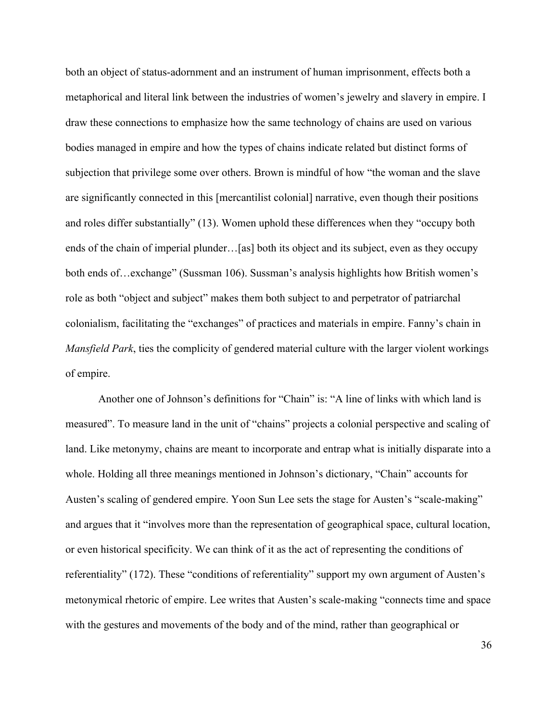both an object of status-adornment and an instrument of human imprisonment, effects both a metaphorical and literal link between the industries of women's jewelry and slavery in empire. I draw these connections to emphasize how the same technology of chains are used on various bodies managed in empire and how the types of chains indicate related but distinct forms of subjection that privilege some over others. Brown is mindful of how "the woman and the slave are significantly connected in this [mercantilist colonial] narrative, even though their positions and roles differ substantially" (13). Women uphold these differences when they "occupy both ends of the chain of imperial plunder…[as] both its object and its subject, even as they occupy both ends of…exchange" (Sussman 106). Sussman's analysis highlights how British women's role as both "object and subject" makes them both subject to and perpetrator of patriarchal colonialism, facilitating the "exchanges" of practices and materials in empire. Fanny's chain in *Mansfield Park*, ties the complicity of gendered material culture with the larger violent workings of empire.

Another one of Johnson's definitions for "Chain" is: "A line of links with which land is measured". To measure land in the unit of "chains" projects a colonial perspective and scaling of land. Like metonymy, chains are meant to incorporate and entrap what is initially disparate into a whole. Holding all three meanings mentioned in Johnson's dictionary, "Chain" accounts for Austen's scaling of gendered empire. Yoon Sun Lee sets the stage for Austen's "scale-making" and argues that it "involves more than the representation of geographical space, cultural location, or even historical specificity. We can think of it as the act of representing the conditions of referentiality" (172). These "conditions of referentiality" support my own argument of Austen's metonymical rhetoric of empire. Lee writes that Austen's scale-making "connects time and space with the gestures and movements of the body and of the mind, rather than geographical or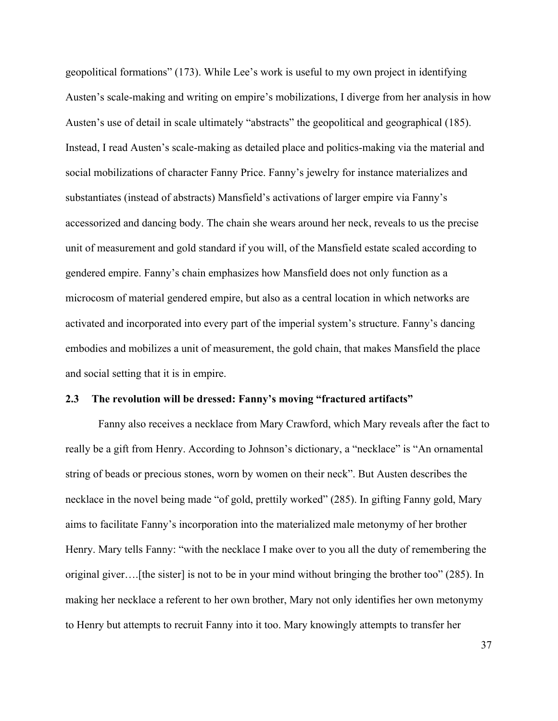geopolitical formations" (173). While Lee's work is useful to my own project in identifying Austen's scale-making and writing on empire's mobilizations, I diverge from her analysis in how Austen's use of detail in scale ultimately "abstracts" the geopolitical and geographical (185). Instead, I read Austen's scale-making as detailed place and politics-making via the material and social mobilizations of character Fanny Price. Fanny's jewelry for instance materializes and substantiates (instead of abstracts) Mansfield's activations of larger empire via Fanny's accessorized and dancing body. The chain she wears around her neck, reveals to us the precise unit of measurement and gold standard if you will, of the Mansfield estate scaled according to gendered empire. Fanny's chain emphasizes how Mansfield does not only function as a microcosm of material gendered empire, but also as a central location in which networks are activated and incorporated into every part of the imperial system's structure. Fanny's dancing embodies and mobilizes a unit of measurement, the gold chain, that makes Mansfield the place and social setting that it is in empire.

### **2.3 The revolution will be dressed: Fanny's moving "fractured artifacts"**

Fanny also receives a necklace from Mary Crawford, which Mary reveals after the fact to really be a gift from Henry. According to Johnson's dictionary, a "necklace" is "An ornamental string of beads or precious stones, worn by women on their neck". But Austen describes the necklace in the novel being made "of gold, prettily worked" (285). In gifting Fanny gold, Mary aims to facilitate Fanny's incorporation into the materialized male metonymy of her brother Henry. Mary tells Fanny: "with the necklace I make over to you all the duty of remembering the original giver….[the sister] is not to be in your mind without bringing the brother too" (285). In making her necklace a referent to her own brother, Mary not only identifies her own metonymy to Henry but attempts to recruit Fanny into it too. Mary knowingly attempts to transfer her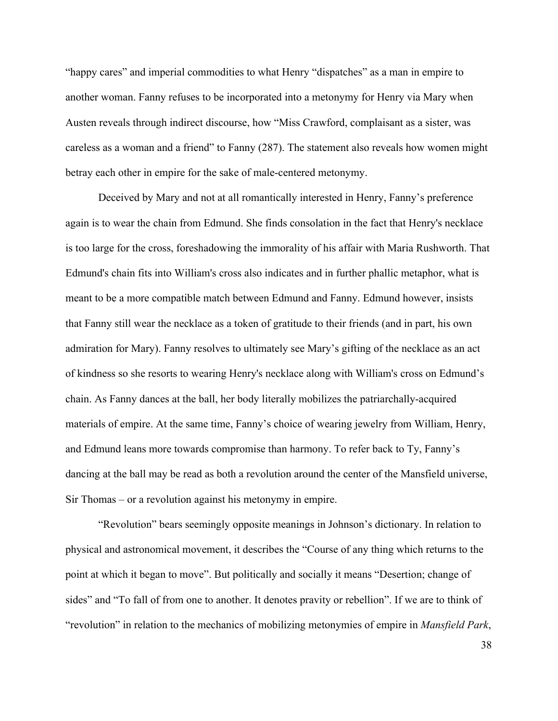"happy cares" and imperial commodities to what Henry "dispatches" as a man in empire to another woman. Fanny refuses to be incorporated into a metonymy for Henry via Mary when Austen reveals through indirect discourse, how "Miss Crawford, complaisant as a sister, was careless as a woman and a friend" to Fanny (287). The statement also reveals how women might betray each other in empire for the sake of male-centered metonymy.

Deceived by Mary and not at all romantically interested in Henry, Fanny's preference again is to wear the chain from Edmund. She finds consolation in the fact that Henry's necklace is too large for the cross, foreshadowing the immorality of his affair with Maria Rushworth. That Edmund's chain fits into William's cross also indicates and in further phallic metaphor, what is meant to be a more compatible match between Edmund and Fanny. Edmund however, insists that Fanny still wear the necklace as a token of gratitude to their friends (and in part, his own admiration for Mary). Fanny resolves to ultimately see Mary's gifting of the necklace as an act of kindness so she resorts to wearing Henry's necklace along with William's cross on Edmund's chain. As Fanny dances at the ball, her body literally mobilizes the patriarchally-acquired materials of empire. At the same time, Fanny's choice of wearing jewelry from William, Henry, and Edmund leans more towards compromise than harmony. To refer back to Ty, Fanny's dancing at the ball may be read as both a revolution around the center of the Mansfield universe, Sir Thomas – or a revolution against his metonymy in empire.

"Revolution" bears seemingly opposite meanings in Johnson's dictionary. In relation to physical and astronomical movement, it describes the "Course of any thing which returns to the point at which it began to move". But politically and socially it means "Desertion; change of sides" and "To fall of from one to another. It denotes pravity or rebellion". If we are to think of "revolution" in relation to the mechanics of mobilizing metonymies of empire in *Mansfield Park*,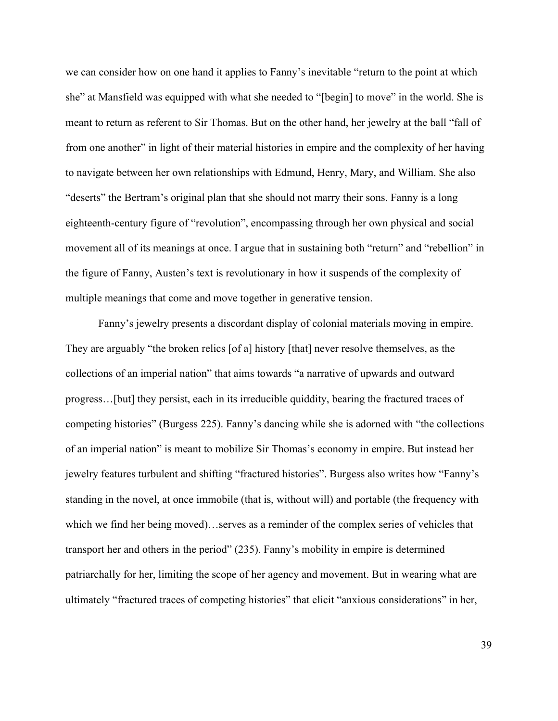we can consider how on one hand it applies to Fanny's inevitable "return to the point at which she" at Mansfield was equipped with what she needed to "[begin] to move" in the world. She is meant to return as referent to Sir Thomas. But on the other hand, her jewelry at the ball "fall of from one another" in light of their material histories in empire and the complexity of her having to navigate between her own relationships with Edmund, Henry, Mary, and William. She also "deserts" the Bertram's original plan that she should not marry their sons. Fanny is a long eighteenth-century figure of "revolution", encompassing through her own physical and social movement all of its meanings at once. I argue that in sustaining both "return" and "rebellion" in the figure of Fanny, Austen's text is revolutionary in how it suspends of the complexity of multiple meanings that come and move together in generative tension.

Fanny's jewelry presents a discordant display of colonial materials moving in empire. They are arguably "the broken relics [of a] history [that] never resolve themselves, as the collections of an imperial nation" that aims towards "a narrative of upwards and outward progress…[but] they persist, each in its irreducible quiddity, bearing the fractured traces of competing histories" (Burgess 225). Fanny's dancing while she is adorned with "the collections of an imperial nation" is meant to mobilize Sir Thomas's economy in empire. But instead her jewelry features turbulent and shifting "fractured histories". Burgess also writes how "Fanny's standing in the novel, at once immobile (that is, without will) and portable (the frequency with which we find her being moved)…serves as a reminder of the complex series of vehicles that transport her and others in the period" (235). Fanny's mobility in empire is determined patriarchally for her, limiting the scope of her agency and movement. But in wearing what are ultimately "fractured traces of competing histories" that elicit "anxious considerations" in her,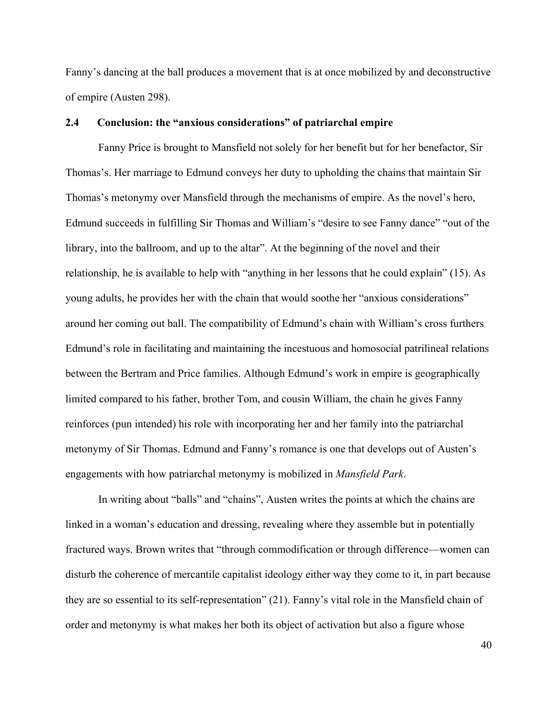Fanny's dancing at the ball produces a movement that is at once mobilized by and deconstructive of empire (Austen 298).

#### **2.4 Conclusion: the "anxious considerations" of patriarchal empire**

Fanny Price is brought to Mansfield not solely for her benefit but for her benefactor, Sir Thomas's. Her marriage to Edmund conveys her duty to upholding the chains that maintain Sir Thomas's metonymy over Mansfield through the mechanisms of empire. As the novel's hero, Edmund succeeds in fulfilling Sir Thomas and William's "desire to see Fanny dance" "out of the library, into the ballroom, and up to the altar". At the beginning of the novel and their relationship, he is available to help with "anything in her lessons that he could explain" (15). As young adults, he provides her with the chain that would soothe her "anxious considerations" around her coming out ball. The compatibility of Edmund's chain with William's cross furthers Edmund's role in facilitating and maintaining the incestuous and homosocial patrilineal relations between the Bertram and Price families. Although Edmund's work in empire is geographically limited compared to his father, brother Tom, and cousin William, the chain he gives Fanny reinforces (pun intended) his role with incorporating her and her family into the patriarchal metonymy of Sir Thomas. Edmund and Fanny's romance is one that develops out of Austen's engagements with how patriarchal metonymy is mobilized in *Mansfield Park*.

In writing about "balls" and "chains", Austen writes the points at which the chains are linked in a woman's education and dressing, revealing where they assemble but in potentially fractured ways. Brown writes that "through commodification or through difference—women can disturb the coherence of mercantile capitalist ideology either way they come to it, in part because they are so essential to its self-representation" (21). Fanny's vital role in the Mansfield chain of order and metonymy is what makes her both its object of activation but also a figure whose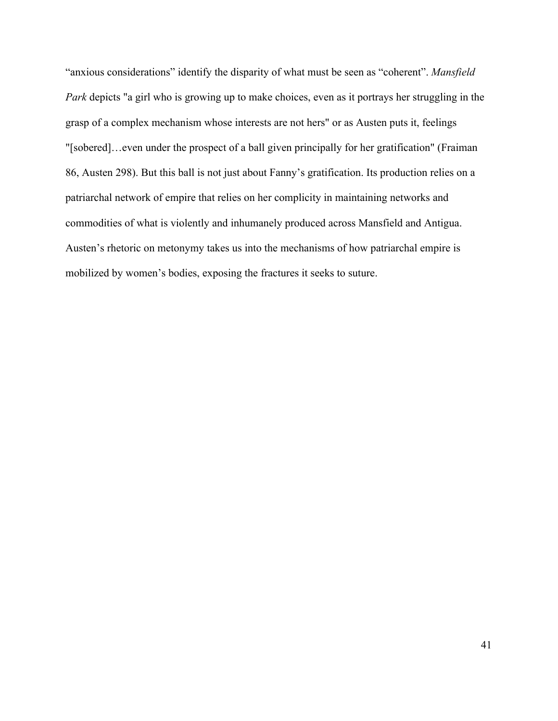"anxious considerations" identify the disparity of what must be seen as "coherent". *Mansfield Park* depicts "a girl who is growing up to make choices, even as it portrays her struggling in the grasp of a complex mechanism whose interests are not hers" or as Austen puts it, feelings "[sobered]…even under the prospect of a ball given principally for her gratification" (Fraiman 86, Austen 298). But this ball is not just about Fanny's gratification. Its production relies on a patriarchal network of empire that relies on her complicity in maintaining networks and commodities of what is violently and inhumanely produced across Mansfield and Antigua. Austen's rhetoric on metonymy takes us into the mechanisms of how patriarchal empire is mobilized by women's bodies, exposing the fractures it seeks to suture.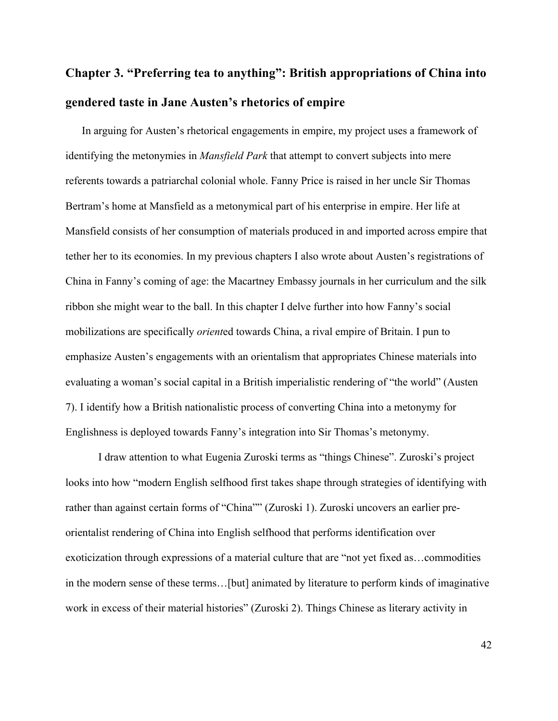# **Chapter 3. "Preferring tea to anything": British appropriations of China into gendered taste in Jane Austen's rhetorics of empire**

In arguing for Austen's rhetorical engagements in empire, my project uses a framework of identifying the metonymies in *Mansfield Park* that attempt to convert subjects into mere referents towards a patriarchal colonial whole. Fanny Price is raised in her uncle Sir Thomas Bertram's home at Mansfield as a metonymical part of his enterprise in empire. Her life at Mansfield consists of her consumption of materials produced in and imported across empire that tether her to its economies. In my previous chapters I also wrote about Austen's registrations of China in Fanny's coming of age: the Macartney Embassy journals in her curriculum and the silk ribbon she might wear to the ball. In this chapter I delve further into how Fanny's social mobilizations are specifically *orient*ed towards China, a rival empire of Britain. I pun to emphasize Austen's engagements with an orientalism that appropriates Chinese materials into evaluating a woman's social capital in a British imperialistic rendering of "the world" (Austen 7). I identify how a British nationalistic process of converting China into a metonymy for Englishness is deployed towards Fanny's integration into Sir Thomas's metonymy.

I draw attention to what Eugenia Zuroski terms as "things Chinese". Zuroski's project looks into how "modern English selfhood first takes shape through strategies of identifying with rather than against certain forms of "China"" (Zuroski 1). Zuroski uncovers an earlier preorientalist rendering of China into English selfhood that performs identification over exoticization through expressions of a material culture that are "not yet fixed as…commodities in the modern sense of these terms…[but] animated by literature to perform kinds of imaginative work in excess of their material histories" (Zuroski 2). Things Chinese as literary activity in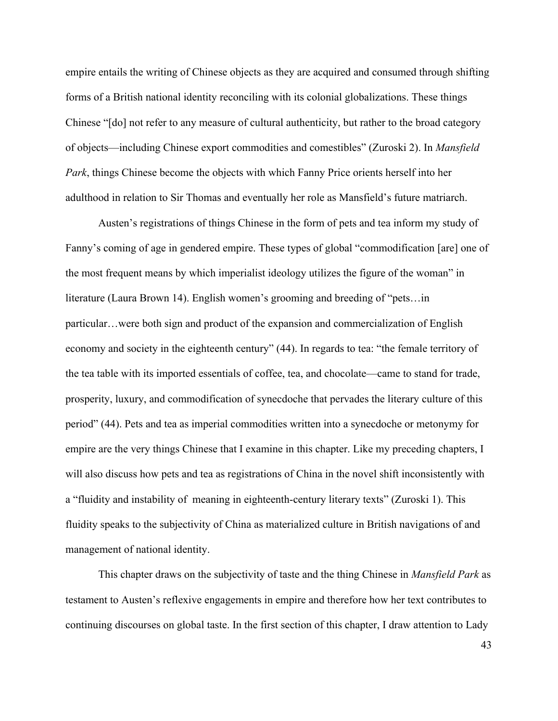empire entails the writing of Chinese objects as they are acquired and consumed through shifting forms of a British national identity reconciling with its colonial globalizations. These things Chinese "[do] not refer to any measure of cultural authenticity, but rather to the broad category of objects—including Chinese export commodities and comestibles" (Zuroski 2). In *Mansfield Park*, things Chinese become the objects with which Fanny Price orients herself into her adulthood in relation to Sir Thomas and eventually her role as Mansfield's future matriarch.

Austen's registrations of things Chinese in the form of pets and tea inform my study of Fanny's coming of age in gendered empire. These types of global "commodification [are] one of the most frequent means by which imperialist ideology utilizes the figure of the woman" in literature (Laura Brown 14). English women's grooming and breeding of "pets…in particular…were both sign and product of the expansion and commercialization of English economy and society in the eighteenth century" (44). In regards to tea: "the female territory of the tea table with its imported essentials of coffee, tea, and chocolate—came to stand for trade, prosperity, luxury, and commodification of synecdoche that pervades the literary culture of this period" (44). Pets and tea as imperial commodities written into a synecdoche or metonymy for empire are the very things Chinese that I examine in this chapter. Like my preceding chapters, I will also discuss how pets and tea as registrations of China in the novel shift inconsistently with a "fluidity and instability of meaning in eighteenth-century literary texts" (Zuroski 1). This fluidity speaks to the subjectivity of China as materialized culture in British navigations of and management of national identity.

This chapter draws on the subjectivity of taste and the thing Chinese in *Mansfield Park* as testament to Austen's reflexive engagements in empire and therefore how her text contributes to continuing discourses on global taste. In the first section of this chapter, I draw attention to Lady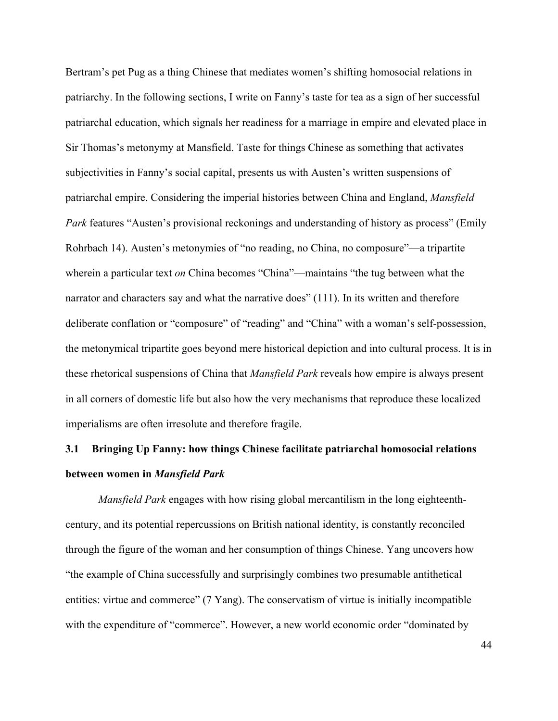Bertram's pet Pug as a thing Chinese that mediates women's shifting homosocial relations in patriarchy. In the following sections, I write on Fanny's taste for tea as a sign of her successful patriarchal education, which signals her readiness for a marriage in empire and elevated place in Sir Thomas's metonymy at Mansfield. Taste for things Chinese as something that activates subjectivities in Fanny's social capital, presents us with Austen's written suspensions of patriarchal empire. Considering the imperial histories between China and England, *Mansfield Park* features "Austen's provisional reckonings and understanding of history as process" (Emily Rohrbach 14). Austen's metonymies of "no reading, no China, no composure"—a tripartite wherein a particular text *on* China becomes "China"—maintains "the tug between what the narrator and characters say and what the narrative does" (111). In its written and therefore deliberate conflation or "composure" of "reading" and "China" with a woman's self-possession, the metonymical tripartite goes beyond mere historical depiction and into cultural process. It is in these rhetorical suspensions of China that *Mansfield Park* reveals how empire is always present in all corners of domestic life but also how the very mechanisms that reproduce these localized imperialisms are often irresolute and therefore fragile.

## **3.1 Bringing Up Fanny: how things Chinese facilitate patriarchal homosocial relations between women in** *Mansfield Park*

*Mansfield Park* engages with how rising global mercantilism in the long eighteenthcentury, and its potential repercussions on British national identity, is constantly reconciled through the figure of the woman and her consumption of things Chinese. Yang uncovers how "the example of China successfully and surprisingly combines two presumable antithetical entities: virtue and commerce" (7 Yang). The conservatism of virtue is initially incompatible with the expenditure of "commerce". However, a new world economic order "dominated by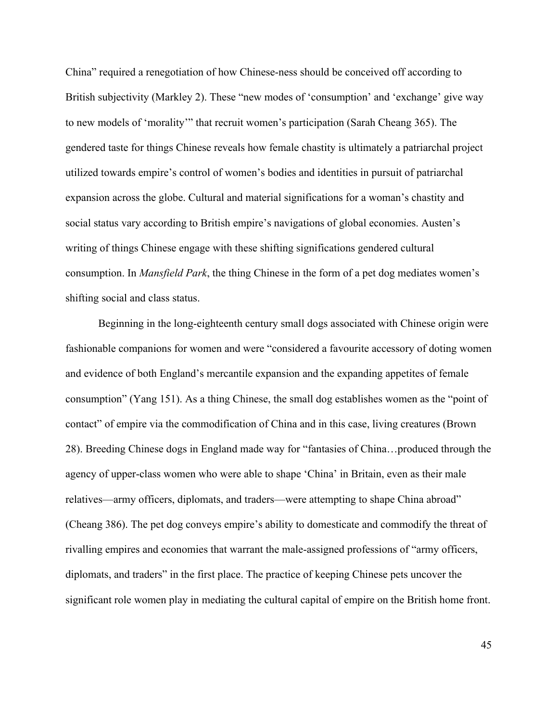China" required a renegotiation of how Chinese-ness should be conceived off according to British subjectivity (Markley 2). These "new modes of 'consumption' and 'exchange' give way to new models of 'morality'" that recruit women's participation (Sarah Cheang 365). The gendered taste for things Chinese reveals how female chastity is ultimately a patriarchal project utilized towards empire's control of women's bodies and identities in pursuit of patriarchal expansion across the globe. Cultural and material significations for a woman's chastity and social status vary according to British empire's navigations of global economies. Austen's writing of things Chinese engage with these shifting significations gendered cultural consumption. In *Mansfield Park*, the thing Chinese in the form of a pet dog mediates women's shifting social and class status.

Beginning in the long-eighteenth century small dogs associated with Chinese origin were fashionable companions for women and were "considered a favourite accessory of doting women and evidence of both England's mercantile expansion and the expanding appetites of female consumption" (Yang 151). As a thing Chinese, the small dog establishes women as the "point of contact" of empire via the commodification of China and in this case, living creatures (Brown 28). Breeding Chinese dogs in England made way for "fantasies of China…produced through the agency of upper-class women who were able to shape 'China' in Britain, even as their male relatives—army officers, diplomats, and traders—were attempting to shape China abroad" (Cheang 386). The pet dog conveys empire's ability to domesticate and commodify the threat of rivalling empires and economies that warrant the male-assigned professions of "army officers, diplomats, and traders" in the first place. The practice of keeping Chinese pets uncover the significant role women play in mediating the cultural capital of empire on the British home front.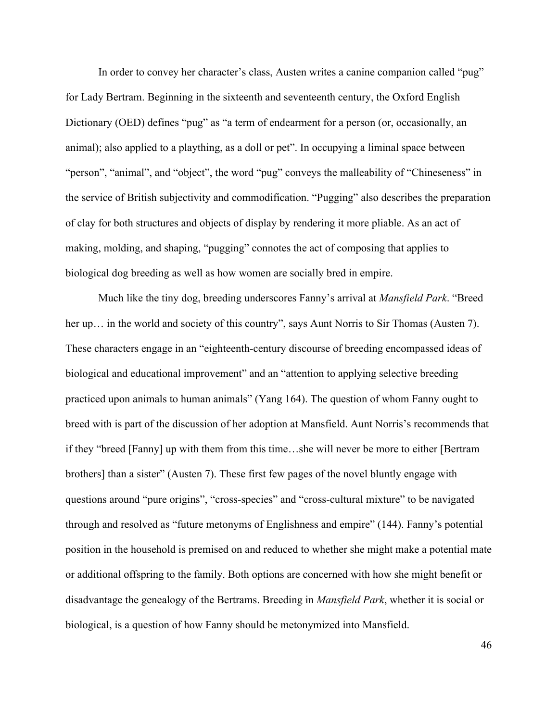In order to convey her character's class, Austen writes a canine companion called "pug" for Lady Bertram. Beginning in the sixteenth and seventeenth century, the Oxford English Dictionary (OED) defines "pug" as "a term of endearment for a person (or, occasionally, an animal); also applied to a plaything, as a doll or pet". In occupying a liminal space between "person", "animal", and "object", the word "pug" conveys the malleability of "Chineseness" in the service of British subjectivity and commodification. "Pugging" also describes the preparation of clay for both structures and objects of display by rendering it more pliable. As an act of making, molding, and shaping, "pugging" connotes the act of composing that applies to biological dog breeding as well as how women are socially bred in empire.

Much like the tiny dog, breeding underscores Fanny's arrival at *Mansfield Park*. "Breed her up... in the world and society of this country", says Aunt Norris to Sir Thomas (Austen 7). These characters engage in an "eighteenth-century discourse of breeding encompassed ideas of biological and educational improvement" and an "attention to applying selective breeding practiced upon animals to human animals" (Yang 164). The question of whom Fanny ought to breed with is part of the discussion of her adoption at Mansfield. Aunt Norris's recommends that if they "breed [Fanny] up with them from this time…she will never be more to either [Bertram brothers] than a sister" (Austen 7). These first few pages of the novel bluntly engage with questions around "pure origins", "cross-species" and "cross-cultural mixture" to be navigated through and resolved as "future metonyms of Englishness and empire" (144). Fanny's potential position in the household is premised on and reduced to whether she might make a potential mate or additional offspring to the family. Both options are concerned with how she might benefit or disadvantage the genealogy of the Bertrams. Breeding in *Mansfield Park*, whether it is social or biological, is a question of how Fanny should be metonymized into Mansfield.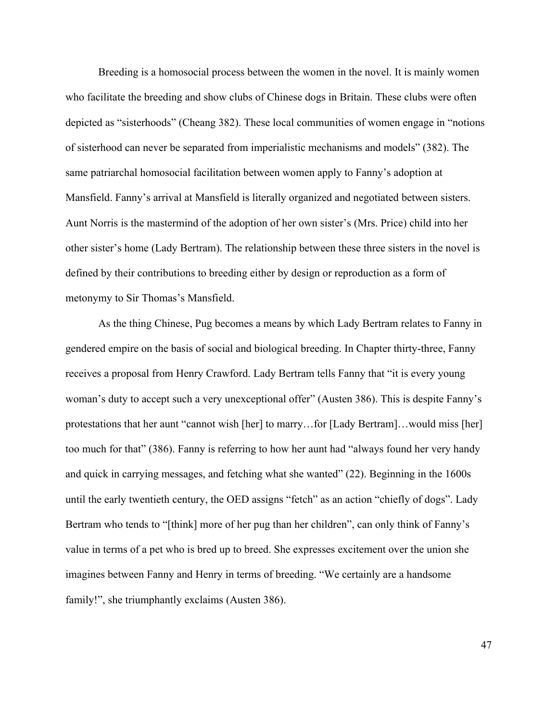Breeding is a homosocial process between the women in the novel. It is mainly women who facilitate the breeding and show clubs of Chinese dogs in Britain. These clubs were often depicted as "sisterhoods" (Cheang 382). These local communities of women engage in "notions of sisterhood can never be separated from imperialistic mechanisms and models" (382). The same patriarchal homosocial facilitation between women apply to Fanny's adoption at Mansfield. Fanny's arrival at Mansfield is literally organized and negotiated between sisters. Aunt Norris is the mastermind of the adoption of her own sister's (Mrs. Price) child into her other sister's home (Lady Bertram). The relationship between these three sisters in the novel is defined by their contributions to breeding either by design or reproduction as a form of metonymy to Sir Thomas's Mansfield.

As the thing Chinese, Pug becomes a means by which Lady Bertram relates to Fanny in gendered empire on the basis of social and biological breeding. In Chapter thirty-three, Fanny receives a proposal from Henry Crawford. Lady Bertram tells Fanny that "it is every young woman's duty to accept such a very unexceptional offer" (Austen 386). This is despite Fanny's protestations that her aunt "cannot wish [her] to marry…for [Lady Bertram]…would miss [her] too much for that" (386). Fanny is referring to how her aunt had "always found her very handy and quick in carrying messages, and fetching what she wanted" (22). Beginning in the 1600s until the early twentieth century, the OED assigns "fetch" as an action "chiefly of dogs". Lady Bertram who tends to "[think] more of her pug than her children", can only think of Fanny's value in terms of a pet who is bred up to breed. She expresses excitement over the union she imagines between Fanny and Henry in terms of breeding. "We certainly are a handsome family!", she triumphantly exclaims (Austen 386).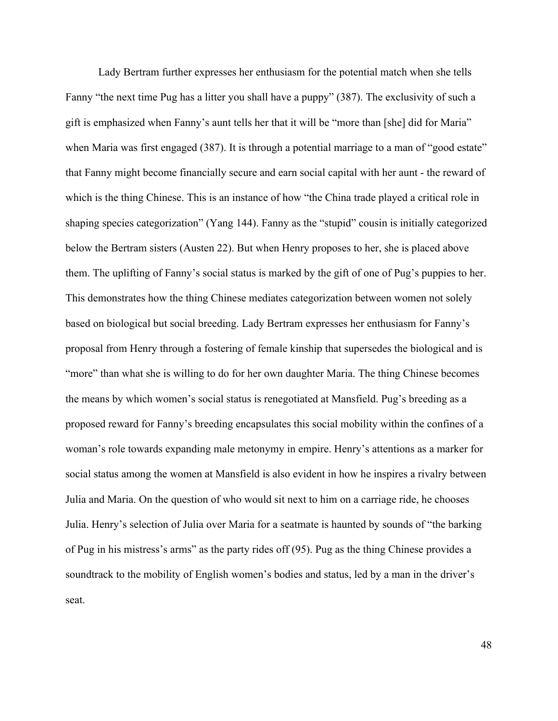Lady Bertram further expresses her enthusiasm for the potential match when she tells Fanny "the next time Pug has a litter you shall have a puppy" (387). The exclusivity of such a gift is emphasized when Fanny's aunt tells her that it will be "more than [she] did for Maria" when Maria was first engaged (387). It is through a potential marriage to a man of "good estate" that Fanny might become financially secure and earn social capital with her aunt - the reward of which is the thing Chinese. This is an instance of how "the China trade played a critical role in shaping species categorization" (Yang 144). Fanny as the "stupid" cousin is initially categorized below the Bertram sisters (Austen 22). But when Henry proposes to her, she is placed above them. The uplifting of Fanny's social status is marked by the gift of one of Pug's puppies to her. This demonstrates how the thing Chinese mediates categorization between women not solely based on biological but social breeding. Lady Bertram expresses her enthusiasm for Fanny's proposal from Henry through a fostering of female kinship that supersedes the biological and is "more" than what she is willing to do for her own daughter Maria. The thing Chinese becomes the means by which women's social status is renegotiated at Mansfield. Pug's breeding as a proposed reward for Fanny's breeding encapsulates this social mobility within the confines of a woman's role towards expanding male metonymy in empire. Henry's attentions as a marker for social status among the women at Mansfield is also evident in how he inspires a rivalry between Julia and Maria. On the question of who would sit next to him on a carriage ride, he chooses Julia. Henry's selection of Julia over Maria for a seatmate is haunted by sounds of "the barking of Pug in his mistress's arms" as the party rides off (95). Pug as the thing Chinese provides a soundtrack to the mobility of English women's bodies and status, led by a man in the driver's seat.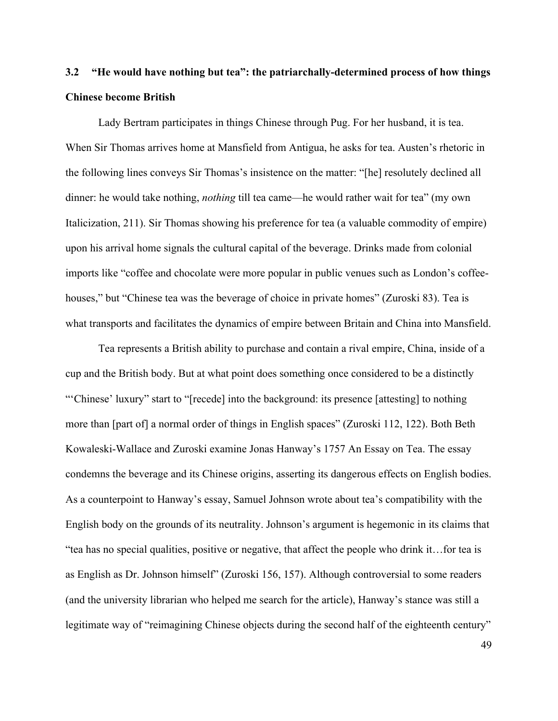## **3.2 "He would have nothing but tea": the patriarchally-determined process of how things Chinese become British**

Lady Bertram participates in things Chinese through Pug. For her husband, it is tea. When Sir Thomas arrives home at Mansfield from Antigua, he asks for tea. Austen's rhetoric in the following lines conveys Sir Thomas's insistence on the matter: "[he] resolutely declined all dinner: he would take nothing, *nothing* till tea came—he would rather wait for tea" (my own Italicization, 211). Sir Thomas showing his preference for tea (a valuable commodity of empire) upon his arrival home signals the cultural capital of the beverage. Drinks made from colonial imports like "coffee and chocolate were more popular in public venues such as London's coffeehouses," but "Chinese tea was the beverage of choice in private homes" (Zuroski 83). Tea is what transports and facilitates the dynamics of empire between Britain and China into Mansfield.

Tea represents a British ability to purchase and contain a rival empire, China, inside of a cup and the British body. But at what point does something once considered to be a distinctly "'Chinese' luxury" start to "[recede] into the background: its presence [attesting] to nothing more than [part of] a normal order of things in English spaces" (Zuroski 112, 122). Both Beth Kowaleski-Wallace and Zuroski examine Jonas Hanway's 1757 An Essay on Tea. The essay condemns the beverage and its Chinese origins, asserting its dangerous effects on English bodies. As a counterpoint to Hanway's essay, Samuel Johnson wrote about tea's compatibility with the English body on the grounds of its neutrality. Johnson's argument is hegemonic in its claims that "tea has no special qualities, positive or negative, that affect the people who drink it…for tea is as English as Dr. Johnson himself" (Zuroski 156, 157). Although controversial to some readers (and the university librarian who helped me search for the article), Hanway's stance was still a legitimate way of "reimagining Chinese objects during the second half of the eighteenth century"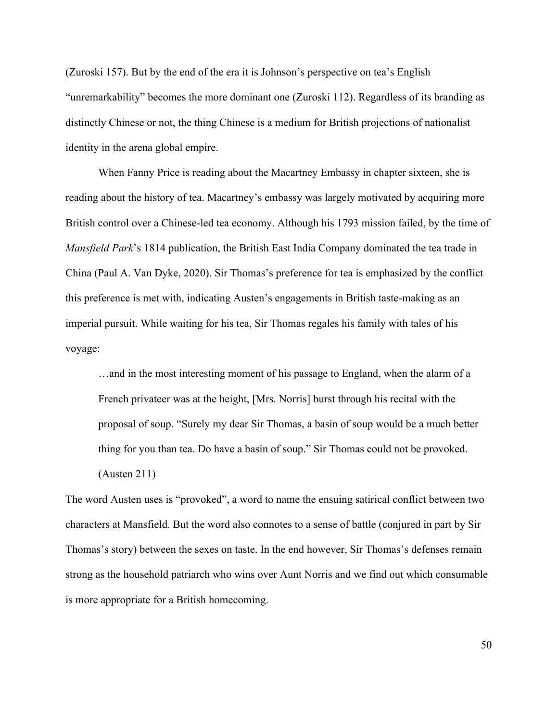(Zuroski 157). But by the end of the era it is Johnson's perspective on tea's English "unremarkability" becomes the more dominant one (Zuroski 112). Regardless of its branding as distinctly Chinese or not, the thing Chinese is a medium for British projections of nationalist identity in the arena global empire.

When Fanny Price is reading about the Macartney Embassy in chapter sixteen, she is reading about the history of tea. Macartney's embassy was largely motivated by acquiring more British control over a Chinese-led tea economy. Although his 1793 mission failed, by the time of *Mansfield Park*'s 1814 publication, the British East India Company dominated the tea trade in China (Paul A. Van Dyke, 2020). Sir Thomas's preference for tea is emphasized by the conflict this preference is met with, indicating Austen's engagements in British taste-making as an imperial pursuit. While waiting for his tea, Sir Thomas regales his family with tales of his voyage:

…and in the most interesting moment of his passage to England, when the alarm of a French privateer was at the height, [Mrs. Norris] burst through his recital with the proposal of soup. "Surely my dear Sir Thomas, a basin of soup would be a much better thing for you than tea. Do have a basin of soup." Sir Thomas could not be provoked. (Austen 211)

The word Austen uses is "provoked", a word to name the ensuing satirical conflict between two characters at Mansfield. But the word also connotes to a sense of battle (conjured in part by Sir Thomas's story) between the sexes on taste. In the end however, Sir Thomas's defenses remain strong as the household patriarch who wins over Aunt Norris and we find out which consumable is more appropriate for a British homecoming.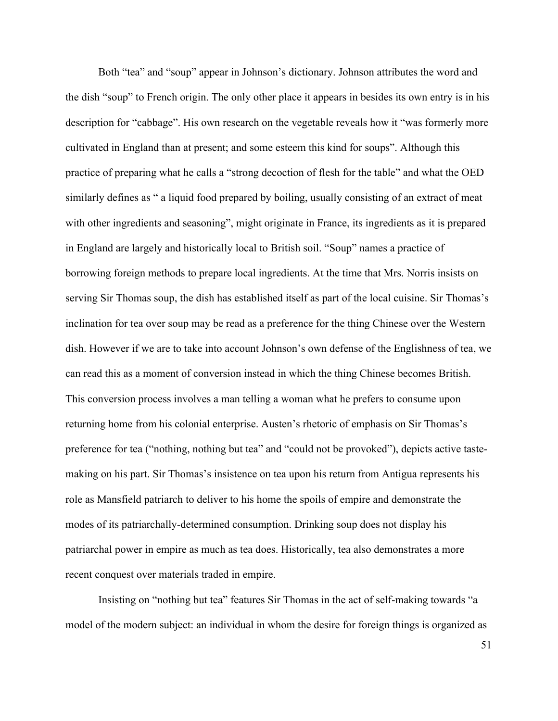Both "tea" and "soup" appear in Johnson's dictionary. Johnson attributes the word and the dish "soup" to French origin. The only other place it appears in besides its own entry is in his description for "cabbage". His own research on the vegetable reveals how it "was formerly more cultivated in England than at present; and some esteem this kind for soups". Although this practice of preparing what he calls a "strong decoction of flesh for the table" and what the OED similarly defines as " a liquid food prepared by boiling, usually consisting of an extract of meat with other ingredients and seasoning", might originate in France, its ingredients as it is prepared in England are largely and historically local to British soil. "Soup" names a practice of borrowing foreign methods to prepare local ingredients. At the time that Mrs. Norris insists on serving Sir Thomas soup, the dish has established itself as part of the local cuisine. Sir Thomas's inclination for tea over soup may be read as a preference for the thing Chinese over the Western dish. However if we are to take into account Johnson's own defense of the Englishness of tea, we can read this as a moment of conversion instead in which the thing Chinese becomes British. This conversion process involves a man telling a woman what he prefers to consume upon returning home from his colonial enterprise. Austen's rhetoric of emphasis on Sir Thomas's preference for tea ("nothing, nothing but tea" and "could not be provoked"), depicts active tastemaking on his part. Sir Thomas's insistence on tea upon his return from Antigua represents his role as Mansfield patriarch to deliver to his home the spoils of empire and demonstrate the modes of its patriarchally-determined consumption. Drinking soup does not display his patriarchal power in empire as much as tea does. Historically, tea also demonstrates a more recent conquest over materials traded in empire.

Insisting on "nothing but tea" features Sir Thomas in the act of self-making towards "a model of the modern subject: an individual in whom the desire for foreign things is organized as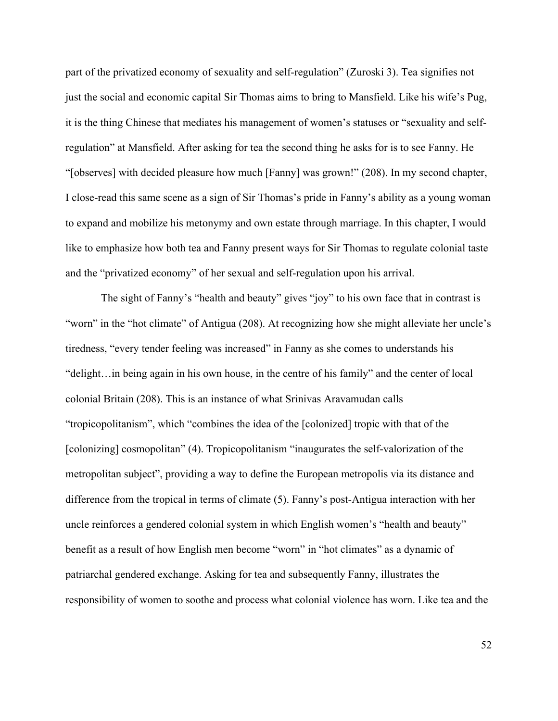part of the privatized economy of sexuality and self-regulation" (Zuroski 3). Tea signifies not just the social and economic capital Sir Thomas aims to bring to Mansfield. Like his wife's Pug, it is the thing Chinese that mediates his management of women's statuses or "sexuality and selfregulation" at Mansfield. After asking for tea the second thing he asks for is to see Fanny. He "[observes] with decided pleasure how much [Fanny] was grown!" (208). In my second chapter, I close-read this same scene as a sign of Sir Thomas's pride in Fanny's ability as a young woman to expand and mobilize his metonymy and own estate through marriage. In this chapter, I would like to emphasize how both tea and Fanny present ways for Sir Thomas to regulate colonial taste and the "privatized economy" of her sexual and self-regulation upon his arrival.

The sight of Fanny's "health and beauty" gives "joy" to his own face that in contrast is "worn" in the "hot climate" of Antigua (208). At recognizing how she might alleviate her uncle's tiredness, "every tender feeling was increased" in Fanny as she comes to understands his "delight…in being again in his own house, in the centre of his family" and the center of local colonial Britain (208). This is an instance of what Srinivas Aravamudan calls "tropicopolitanism", which "combines the idea of the [colonized] tropic with that of the [colonizing] cosmopolitan" (4). Tropicopolitanism "inaugurates the self-valorization of the metropolitan subject", providing a way to define the European metropolis via its distance and difference from the tropical in terms of climate (5). Fanny's post-Antigua interaction with her uncle reinforces a gendered colonial system in which English women's "health and beauty" benefit as a result of how English men become "worn" in "hot climates" as a dynamic of patriarchal gendered exchange. Asking for tea and subsequently Fanny, illustrates the responsibility of women to soothe and process what colonial violence has worn. Like tea and the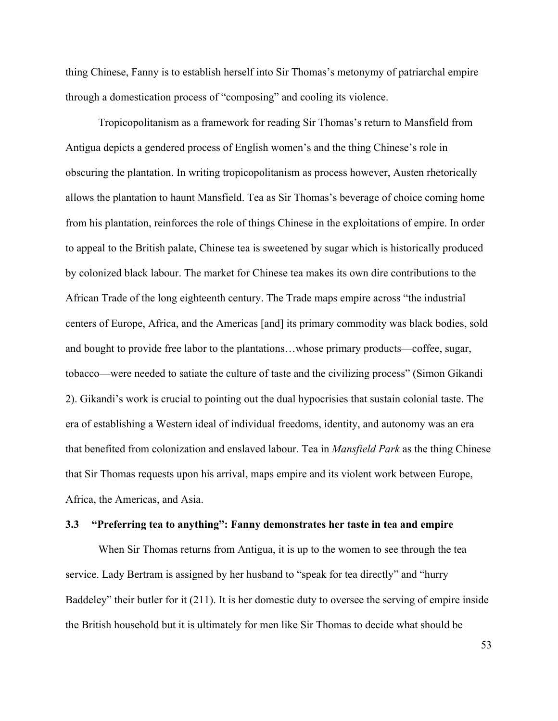thing Chinese, Fanny is to establish herself into Sir Thomas's metonymy of patriarchal empire through a domestication process of "composing" and cooling its violence.

Tropicopolitanism as a framework for reading Sir Thomas's return to Mansfield from Antigua depicts a gendered process of English women's and the thing Chinese's role in obscuring the plantation. In writing tropicopolitanism as process however, Austen rhetorically allows the plantation to haunt Mansfield. Tea as Sir Thomas's beverage of choice coming home from his plantation, reinforces the role of things Chinese in the exploitations of empire. In order to appeal to the British palate, Chinese tea is sweetened by sugar which is historically produced by colonized black labour. The market for Chinese tea makes its own dire contributions to the African Trade of the long eighteenth century. The Trade maps empire across "the industrial centers of Europe, Africa, and the Americas [and] its primary commodity was black bodies, sold and bought to provide free labor to the plantations…whose primary products—coffee, sugar, tobacco—were needed to satiate the culture of taste and the civilizing process" (Simon Gikandi 2). Gikandi's work is crucial to pointing out the dual hypocrisies that sustain colonial taste. The era of establishing a Western ideal of individual freedoms, identity, and autonomy was an era that benefited from colonization and enslaved labour. Tea in *Mansfield Park* as the thing Chinese that Sir Thomas requests upon his arrival, maps empire and its violent work between Europe, Africa, the Americas, and Asia.

#### **3.3 "Preferring tea to anything": Fanny demonstrates her taste in tea and empire**

When Sir Thomas returns from Antigua, it is up to the women to see through the tea service. Lady Bertram is assigned by her husband to "speak for tea directly" and "hurry Baddeley" their butler for it (211). It is her domestic duty to oversee the serving of empire inside the British household but it is ultimately for men like Sir Thomas to decide what should be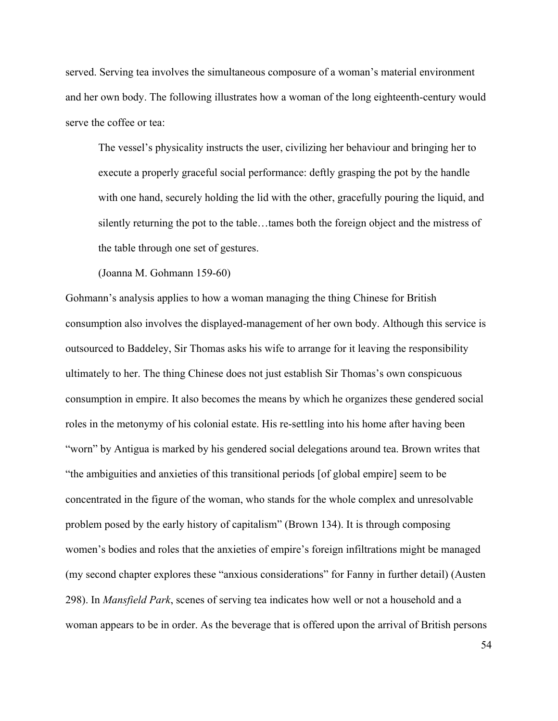served. Serving tea involves the simultaneous composure of a woman's material environment and her own body. The following illustrates how a woman of the long eighteenth-century would serve the coffee or tea:

The vessel's physicality instructs the user, civilizing her behaviour and bringing her to execute a properly graceful social performance: deftly grasping the pot by the handle with one hand, securely holding the lid with the other, gracefully pouring the liquid, and silently returning the pot to the table…tames both the foreign object and the mistress of the table through one set of gestures.

(Joanna M. Gohmann 159-60)

Gohmann's analysis applies to how a woman managing the thing Chinese for British consumption also involves the displayed-management of her own body. Although this service is outsourced to Baddeley, Sir Thomas asks his wife to arrange for it leaving the responsibility ultimately to her. The thing Chinese does not just establish Sir Thomas's own conspicuous consumption in empire. It also becomes the means by which he organizes these gendered social roles in the metonymy of his colonial estate. His re-settling into his home after having been "worn" by Antigua is marked by his gendered social delegations around tea. Brown writes that "the ambiguities and anxieties of this transitional periods [of global empire] seem to be concentrated in the figure of the woman, who stands for the whole complex and unresolvable problem posed by the early history of capitalism" (Brown 134). It is through composing women's bodies and roles that the anxieties of empire's foreign infiltrations might be managed (my second chapter explores these "anxious considerations" for Fanny in further detail) (Austen 298). In *Mansfield Park*, scenes of serving tea indicates how well or not a household and a woman appears to be in order. As the beverage that is offered upon the arrival of British persons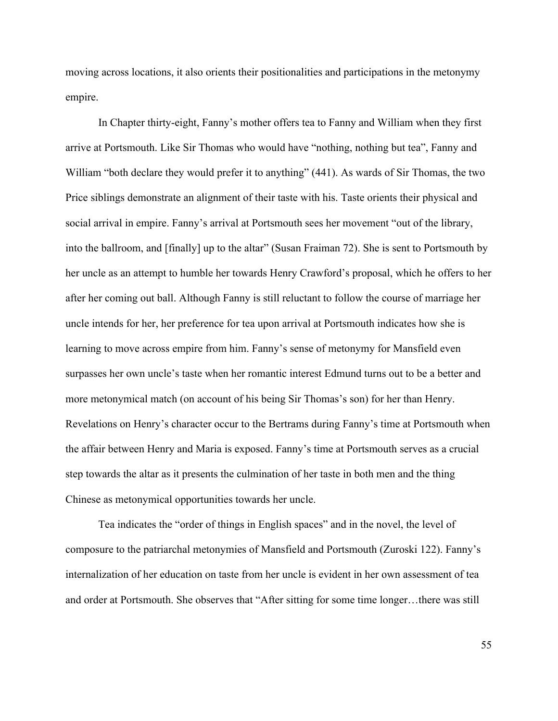moving across locations, it also orients their positionalities and participations in the metonymy empire.

In Chapter thirty-eight, Fanny's mother offers tea to Fanny and William when they first arrive at Portsmouth. Like Sir Thomas who would have "nothing, nothing but tea", Fanny and William "both declare they would prefer it to anything" (441). As wards of Sir Thomas, the two Price siblings demonstrate an alignment of their taste with his. Taste orients their physical and social arrival in empire. Fanny's arrival at Portsmouth sees her movement "out of the library, into the ballroom, and [finally] up to the altar" (Susan Fraiman 72). She is sent to Portsmouth by her uncle as an attempt to humble her towards Henry Crawford's proposal, which he offers to her after her coming out ball. Although Fanny is still reluctant to follow the course of marriage her uncle intends for her, her preference for tea upon arrival at Portsmouth indicates how she is learning to move across empire from him. Fanny's sense of metonymy for Mansfield even surpasses her own uncle's taste when her romantic interest Edmund turns out to be a better and more metonymical match (on account of his being Sir Thomas's son) for her than Henry. Revelations on Henry's character occur to the Bertrams during Fanny's time at Portsmouth when the affair between Henry and Maria is exposed. Fanny's time at Portsmouth serves as a crucial step towards the altar as it presents the culmination of her taste in both men and the thing Chinese as metonymical opportunities towards her uncle.

Tea indicates the "order of things in English spaces" and in the novel, the level of composure to the patriarchal metonymies of Mansfield and Portsmouth (Zuroski 122). Fanny's internalization of her education on taste from her uncle is evident in her own assessment of tea and order at Portsmouth. She observes that "After sitting for some time longer…there was still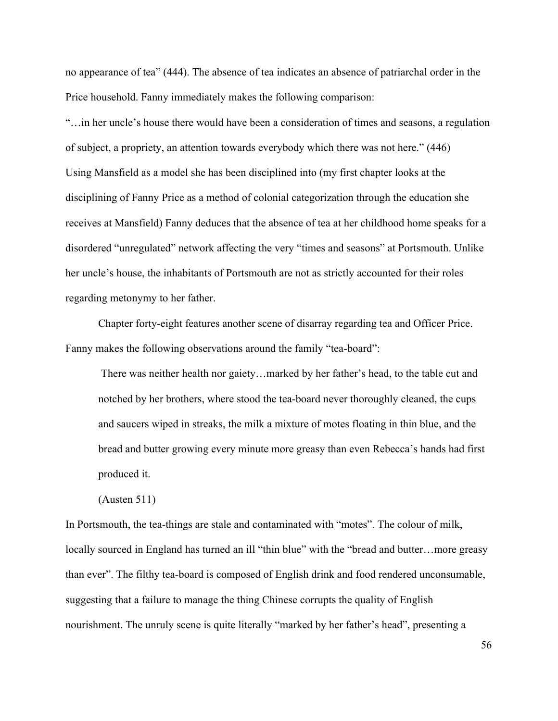no appearance of tea" (444). The absence of tea indicates an absence of patriarchal order in the Price household. Fanny immediately makes the following comparison:

"…in her uncle's house there would have been a consideration of times and seasons, a regulation of subject, a propriety, an attention towards everybody which there was not here." (446) Using Mansfield as a model she has been disciplined into (my first chapter looks at the disciplining of Fanny Price as a method of colonial categorization through the education she receives at Mansfield) Fanny deduces that the absence of tea at her childhood home speaks for a disordered "unregulated" network affecting the very "times and seasons" at Portsmouth. Unlike her uncle's house, the inhabitants of Portsmouth are not as strictly accounted for their roles regarding metonymy to her father.

Chapter forty-eight features another scene of disarray regarding tea and Officer Price. Fanny makes the following observations around the family "tea-board":

There was neither health nor gaiety…marked by her father's head, to the table cut and notched by her brothers, where stood the tea-board never thoroughly cleaned, the cups and saucers wiped in streaks, the milk a mixture of motes floating in thin blue, and the bread and butter growing every minute more greasy than even Rebecca's hands had first produced it.

(Austen 511)

In Portsmouth, the tea-things are stale and contaminated with "motes". The colour of milk, locally sourced in England has turned an ill "thin blue" with the "bread and butter...more greasy than ever". The filthy tea-board is composed of English drink and food rendered unconsumable, suggesting that a failure to manage the thing Chinese corrupts the quality of English nourishment. The unruly scene is quite literally "marked by her father's head", presenting a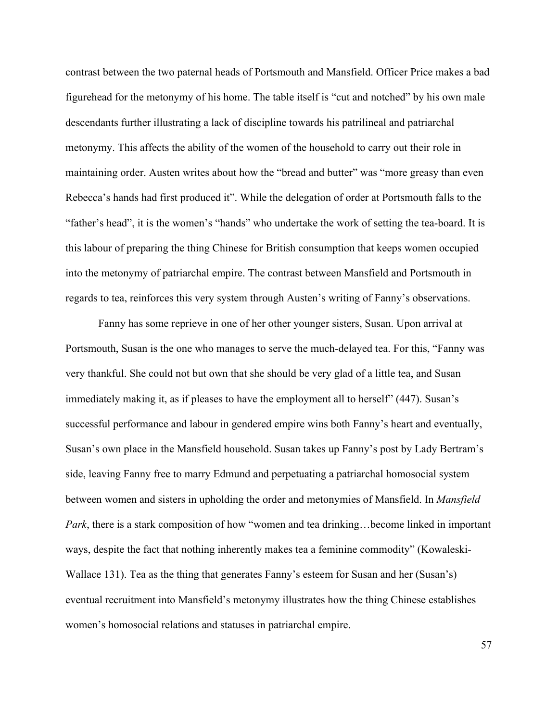contrast between the two paternal heads of Portsmouth and Mansfield. Officer Price makes a bad figurehead for the metonymy of his home. The table itself is "cut and notched" by his own male descendants further illustrating a lack of discipline towards his patrilineal and patriarchal metonymy. This affects the ability of the women of the household to carry out their role in maintaining order. Austen writes about how the "bread and butter" was "more greasy than even Rebecca's hands had first produced it". While the delegation of order at Portsmouth falls to the "father's head", it is the women's "hands" who undertake the work of setting the tea-board. It is this labour of preparing the thing Chinese for British consumption that keeps women occupied into the metonymy of patriarchal empire. The contrast between Mansfield and Portsmouth in regards to tea, reinforces this very system through Austen's writing of Fanny's observations.

Fanny has some reprieve in one of her other younger sisters, Susan. Upon arrival at Portsmouth, Susan is the one who manages to serve the much-delayed tea. For this, "Fanny was very thankful. She could not but own that she should be very glad of a little tea, and Susan immediately making it, as if pleases to have the employment all to herself" (447). Susan's successful performance and labour in gendered empire wins both Fanny's heart and eventually, Susan's own place in the Mansfield household. Susan takes up Fanny's post by Lady Bertram's side, leaving Fanny free to marry Edmund and perpetuating a patriarchal homosocial system between women and sisters in upholding the order and metonymies of Mansfield. In *Mansfield Park*, there is a stark composition of how "women and tea drinking…become linked in important ways, despite the fact that nothing inherently makes tea a feminine commodity" (Kowaleski-Wallace 131). Tea as the thing that generates Fanny's esteem for Susan and her (Susan's) eventual recruitment into Mansfield's metonymy illustrates how the thing Chinese establishes women's homosocial relations and statuses in patriarchal empire.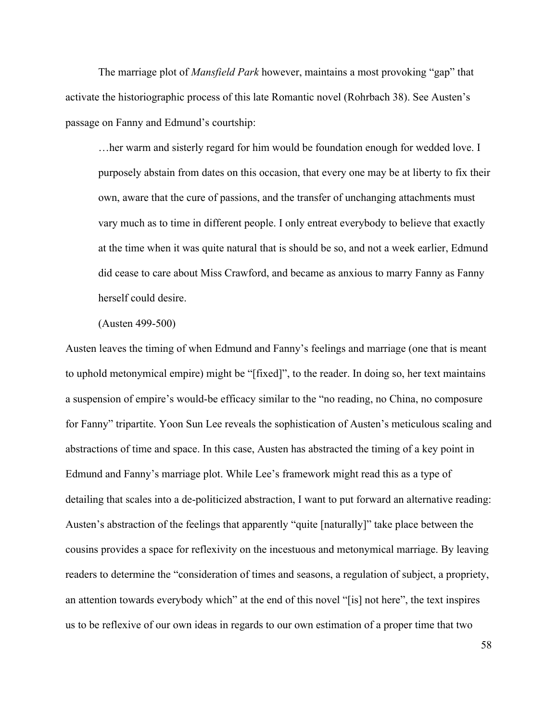The marriage plot of *Mansfield Park* however, maintains a most provoking "gap" that activate the historiographic process of this late Romantic novel (Rohrbach 38). See Austen's passage on Fanny and Edmund's courtship:

…her warm and sisterly regard for him would be foundation enough for wedded love. I purposely abstain from dates on this occasion, that every one may be at liberty to fix their own, aware that the cure of passions, and the transfer of unchanging attachments must vary much as to time in different people. I only entreat everybody to believe that exactly at the time when it was quite natural that is should be so, and not a week earlier, Edmund did cease to care about Miss Crawford, and became as anxious to marry Fanny as Fanny herself could desire.

(Austen 499-500)

Austen leaves the timing of when Edmund and Fanny's feelings and marriage (one that is meant to uphold metonymical empire) might be "[fixed]", to the reader. In doing so, her text maintains a suspension of empire's would-be efficacy similar to the "no reading, no China, no composure for Fanny" tripartite. Yoon Sun Lee reveals the sophistication of Austen's meticulous scaling and abstractions of time and space. In this case, Austen has abstracted the timing of a key point in Edmund and Fanny's marriage plot. While Lee's framework might read this as a type of detailing that scales into a de-politicized abstraction, I want to put forward an alternative reading: Austen's abstraction of the feelings that apparently "quite [naturally]" take place between the cousins provides a space for reflexivity on the incestuous and metonymical marriage. By leaving readers to determine the "consideration of times and seasons, a regulation of subject, a propriety, an attention towards everybody which" at the end of this novel "[is] not here", the text inspires us to be reflexive of our own ideas in regards to our own estimation of a proper time that two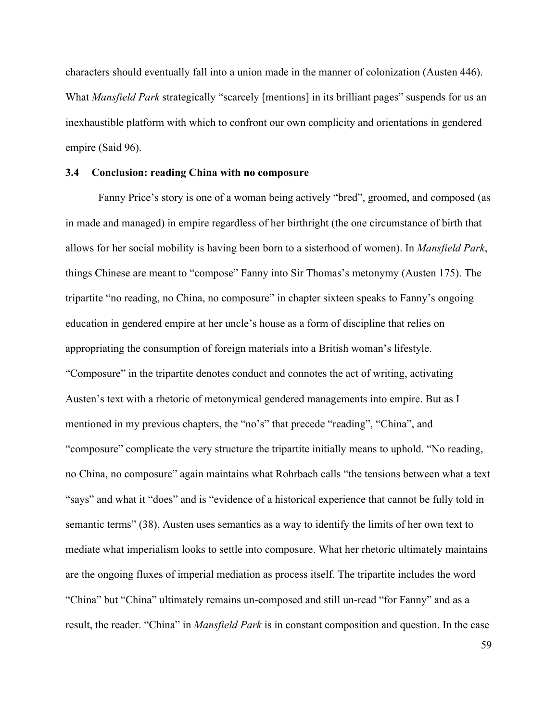characters should eventually fall into a union made in the manner of colonization (Austen 446). What *Mansfield Park* strategically "scarcely [mentions] in its brilliant pages" suspends for us an inexhaustible platform with which to confront our own complicity and orientations in gendered empire (Said 96).

### **3.4 Conclusion: reading China with no composure**

Fanny Price's story is one of a woman being actively "bred", groomed, and composed (as in made and managed) in empire regardless of her birthright (the one circumstance of birth that allows for her social mobility is having been born to a sisterhood of women). In *Mansfield Park*, things Chinese are meant to "compose" Fanny into Sir Thomas's metonymy (Austen 175). The tripartite "no reading, no China, no composure" in chapter sixteen speaks to Fanny's ongoing education in gendered empire at her uncle's house as a form of discipline that relies on appropriating the consumption of foreign materials into a British woman's lifestyle. "Composure" in the tripartite denotes conduct and connotes the act of writing, activating Austen's text with a rhetoric of metonymical gendered managements into empire. But as I mentioned in my previous chapters, the "no's" that precede "reading", "China", and "composure" complicate the very structure the tripartite initially means to uphold. "No reading, no China, no composure" again maintains what Rohrbach calls "the tensions between what a text "says" and what it "does" and is "evidence of a historical experience that cannot be fully told in semantic terms" (38). Austen uses semantics as a way to identify the limits of her own text to mediate what imperialism looks to settle into composure. What her rhetoric ultimately maintains are the ongoing fluxes of imperial mediation as process itself. The tripartite includes the word "China" but "China" ultimately remains un-composed and still un-read "for Fanny" and as a result, the reader. "China" in *Mansfield Park* is in constant composition and question. In the case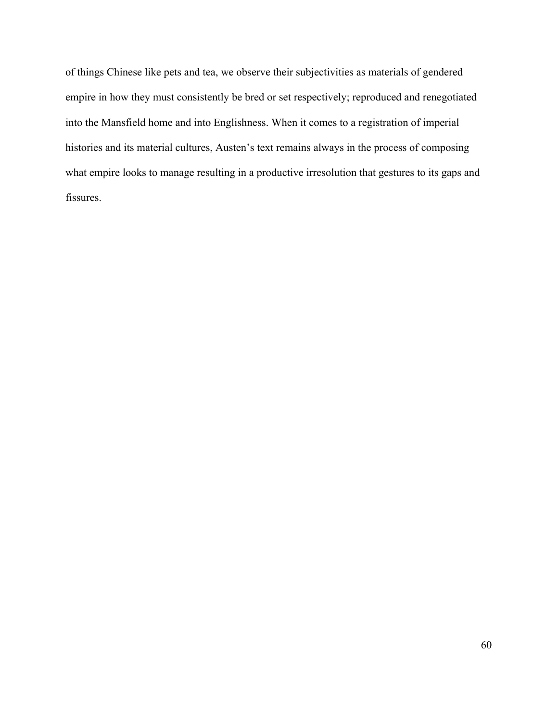of things Chinese like pets and tea, we observe their subjectivities as materials of gendered empire in how they must consistently be bred or set respectively; reproduced and renegotiated into the Mansfield home and into Englishness. When it comes to a registration of imperial histories and its material cultures, Austen's text remains always in the process of composing what empire looks to manage resulting in a productive irresolution that gestures to its gaps and fissures.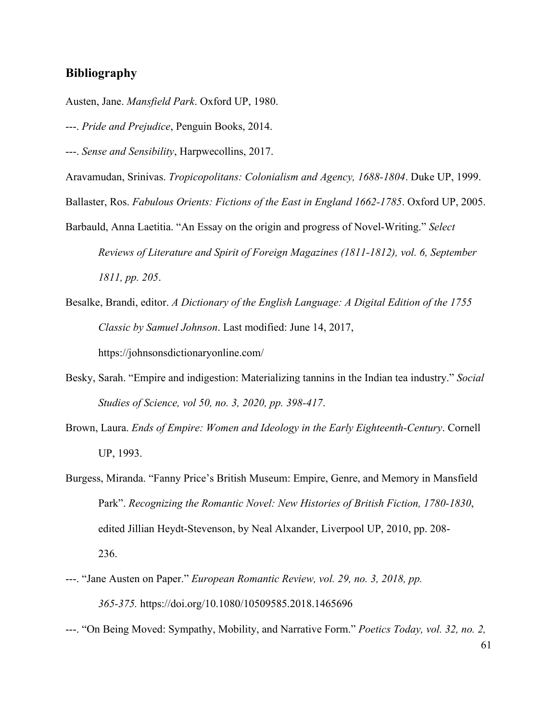### **Bibliography**

- Austen, Jane. *Mansfield Park*. Oxford UP, 1980.
- ---. *Pride and Prejudice*, Penguin Books, 2014.
- ---. *Sense and Sensibility*, Harpwecollins, 2017.

Aravamudan, Srinivas. *Tropicopolitans: Colonialism and Agency, 1688-1804*. Duke UP, 1999.

- Ballaster, Ros. *Fabulous Orients: Fictions of the East in England 1662-1785*. Oxford UP, 2005.
- Barbauld, Anna Laetitia. "An Essay on the origin and progress of Novel-Writing." *Select Reviews of Literature and Spirit of Foreign Magazines (1811-1812), vol. 6, September 1811, pp. 205*.
- Besalke, Brandi, editor. *A Dictionary of the English Language: A Digital Edition of the 1755 Classic by Samuel Johnson*. Last modified: June 14, 2017, https://johnsonsdictionaryonline.com/
- Besky, Sarah. "Empire and indigestion: Materializing tannins in the Indian tea industry." *Social Studies of Science, vol 50, no. 3, 2020, pp. 398-417*.
- Brown, Laura. *Ends of Empire: Women and Ideology in the Early Eighteenth-Century*. Cornell UP, 1993.
- Burgess, Miranda. "Fanny Price's British Museum: Empire, Genre, and Memory in Mansfield Park". *Recognizing the Romantic Novel: New Histories of British Fiction, 1780-1830*, edited Jillian Heydt-Stevenson, by Neal Alxander, Liverpool UP, 2010, pp. 208- 236.
- ---. "Jane Austen on Paper." *European Romantic Review, vol. 29, no. 3, 2018, pp. 365-375.* https://doi.org/10.1080/10509585.2018.1465696
- ---. "On Being Moved: Sympathy, Mobility, and Narrative Form." *Poetics Today, vol. 32, no. 2,*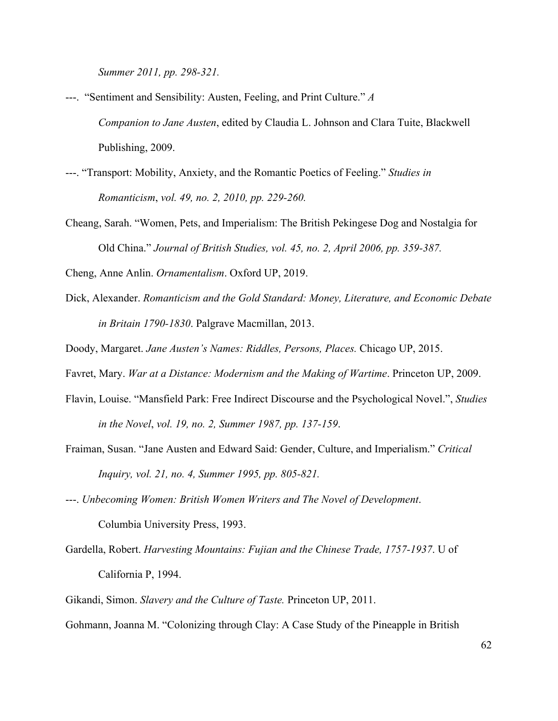*Summer 2011, pp. 298-321.*

- ---. "Sentiment and Sensibility: Austen, Feeling, and Print Culture." *A Companion to Jane Austen*, edited by Claudia L. Johnson and Clara Tuite, Blackwell Publishing, 2009.
- ---. "Transport: Mobility, Anxiety, and the Romantic Poetics of Feeling." *Studies in Romanticism*, *vol. 49, no. 2, 2010, pp. 229-260.*
- Cheang, Sarah. "Women, Pets, and Imperialism: The British Pekingese Dog and Nostalgia for Old China." *Journal of British Studies, vol. 45, no. 2, April 2006, pp. 359-387.*

Cheng, Anne Anlin. *Ornamentalism*. Oxford UP, 2019.

Dick, Alexander. *Romanticism and the Gold Standard: Money, Literature, and Economic Debate in Britain 1790-1830*. Palgrave Macmillan, 2013.

Doody, Margaret. *Jane Austen's Names: Riddles, Persons, Places.* Chicago UP, 2015.

Favret, Mary. *War at a Distance: Modernism and the Making of Wartime*. Princeton UP, 2009.

- Flavin, Louise. "Mansfield Park: Free Indirect Discourse and the Psychological Novel.", *Studies in the Novel*, *vol. 19, no. 2, Summer 1987, pp. 137-159*.
- Fraiman, Susan. "Jane Austen and Edward Said: Gender, Culture, and Imperialism." *Critical Inquiry, vol. 21, no. 4, Summer 1995, pp. 805-821.*
- ---. *Unbecoming Women: British Women Writers and The Novel of Development*. Columbia University Press, 1993.
- Gardella, Robert. *Harvesting Mountains: Fujian and the Chinese Trade, 1757-1937*. U of California P, 1994.
- Gikandi, Simon. *Slavery and the Culture of Taste.* Princeton UP, 2011.

Gohmann, Joanna M. "Colonizing through Clay: A Case Study of the Pineapple in British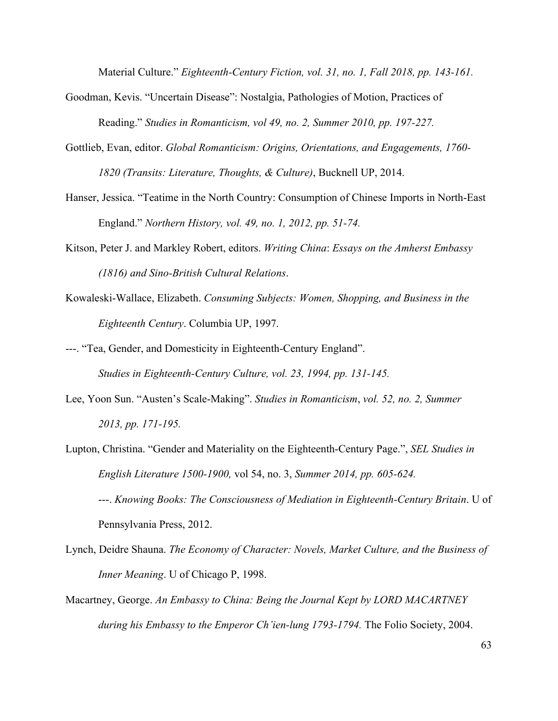Material Culture." *Eighteenth-Century Fiction, vol. 31, no. 1, Fall 2018, pp. 143-161.*

- Goodman, Kevis. "Uncertain Disease": Nostalgia, Pathologies of Motion, Practices of Reading." *Studies in Romanticism, vol 49, no. 2, Summer 2010, pp. 197-227.*
- Gottlieb, Evan, editor. *Global Romanticism: Origins, Orientations, and Engagements, 1760- 1820 (Transits: Literature, Thoughts, & Culture)*, Bucknell UP, 2014.
- Hanser, Jessica. "Teatime in the North Country: Consumption of Chinese Imports in North-East England." *Northern History, vol. 49, no. 1, 2012, pp. 51-74.*
- Kitson, Peter J. and Markley Robert, editors. *Writing China*: *Essays on the Amherst Embassy (1816) and Sino-British Cultural Relations*.
- Kowaleski-Wallace, Elizabeth. *Consuming Subjects: Women, Shopping, and Business in the Eighteenth Century*. Columbia UP, 1997.
- ---. "Tea, Gender, and Domesticity in Eighteenth-Century England". *Studies in Eighteenth-Century Culture, vol. 23, 1994, pp. 131-145.*
- Lee, Yoon Sun. "Austen's Scale-Making". *Studies in Romanticism*, *vol. 52, no. 2, Summer 2013, pp. 171-195.*
- Lupton, Christina. "Gender and Materiality on the Eighteenth-Century Page.", *SEL Studies in English Literature 1500-1900,* vol 54, no. 3, *Summer 2014, pp. 605-624.* ---. *Knowing Books: The Consciousness of Mediation in Eighteenth-Century Britain*. U of Pennsylvania Press, 2012.
- Lynch, Deidre Shauna. *The Economy of Character: Novels, Market Culture, and the Business of Inner Meaning*. U of Chicago P, 1998.
- Macartney, George. *An Embassy to China: Being the Journal Kept by LORD MACARTNEY during his Embassy to the Emperor Ch'ien-lung 1793-1794.* The Folio Society, 2004.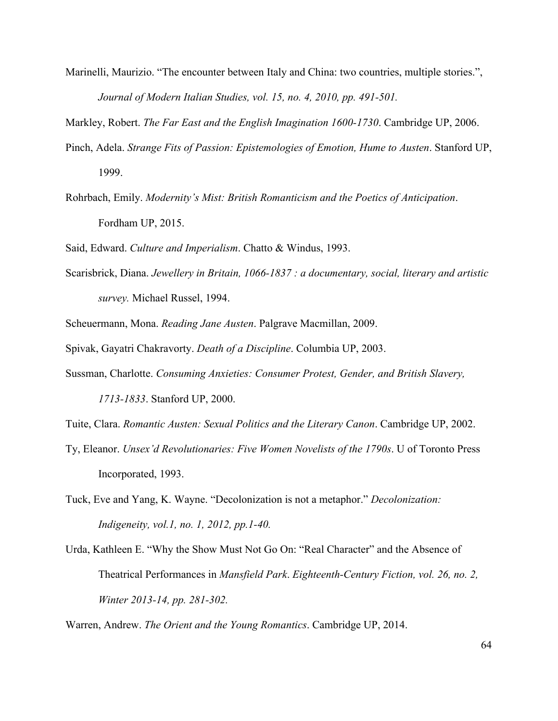Marinelli, Maurizio. "The encounter between Italy and China: two countries, multiple stories.", *Journal of Modern Italian Studies, vol. 15, no. 4, 2010, pp. 491-501.*

Markley, Robert. *The Far East and the English Imagination 1600-1730*. Cambridge UP, 2006.

- Pinch, Adela. *Strange Fits of Passion: Epistemologies of Emotion, Hume to Austen*. Stanford UP, 1999.
- Rohrbach, Emily. *Modernity's Mist: British Romanticism and the Poetics of Anticipation*. Fordham UP, 2015.

Said, Edward. *Culture and Imperialism*. Chatto & Windus, 1993.

Scarisbrick, Diana. *Jewellery in Britain, 1066-1837 : a documentary, social, literary and artistic survey.* Michael Russel, 1994.

Scheuermann, Mona. *Reading Jane Austen*. Palgrave Macmillan, 2009.

Spivak, Gayatri Chakravorty. *Death of a Discipline*. Columbia UP, 2003.

Sussman, Charlotte. *Consuming Anxieties: Consumer Protest, Gender, and British Slavery, 1713-1833*. Stanford UP, 2000.

Tuite, Clara. *Romantic Austen: Sexual Politics and the Literary Canon*. Cambridge UP, 2002.

- Ty, Eleanor. *Unsex'd Revolutionaries: Five Women Novelists of the 1790s*. U of Toronto Press Incorporated, 1993.
- Tuck, Eve and Yang, K. Wayne. "Decolonization is not a metaphor." *Decolonization: Indigeneity, vol.1, no. 1, 2012, pp.1-40.*
- Urda, Kathleen E. "Why the Show Must Not Go On: "Real Character" and the Absence of Theatrical Performances in *Mansfield Park*. *Eighteenth-Century Fiction, vol. 26, no. 2, Winter 2013-14, pp. 281-302.*

Warren, Andrew. *The Orient and the Young Romantics*. Cambridge UP, 2014.